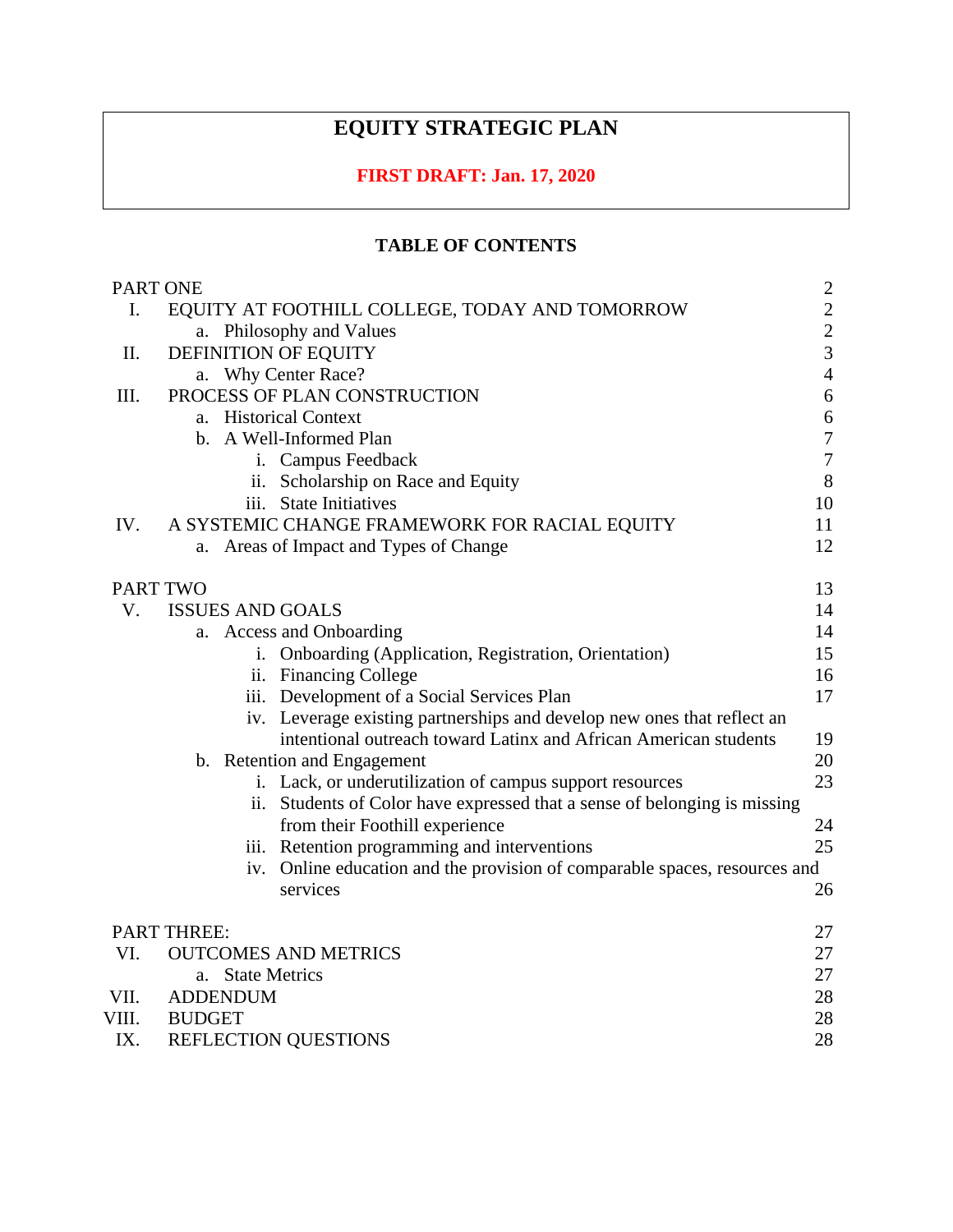# **EQUITY STRATEGIC PLAN**

# **FIRST DRAFT: Jan. 17, 2020**

# **TABLE OF CONTENTS**

|       | PART ONE                                                                      | $\overline{c}$   |
|-------|-------------------------------------------------------------------------------|------------------|
| I.    | EQUITY AT FOOTHILL COLLEGE, TODAY AND TOMORROW                                | $\sqrt{2}$       |
|       | a. Philosophy and Values                                                      | $\overline{c}$   |
| Π.    | DEFINITION OF EQUITY                                                          | $\overline{3}$   |
|       | a. Why Center Race?                                                           | $\overline{4}$   |
| Ш.    | PROCESS OF PLAN CONSTRUCTION                                                  | $\sqrt{6}$       |
|       | a. Historical Context                                                         | $\sqrt{6}$       |
|       | b. A Well-Informed Plan                                                       | $\boldsymbol{7}$ |
|       | i. Campus Feedback                                                            | $\boldsymbol{7}$ |
|       | ii. Scholarship on Race and Equity                                            | 8                |
|       | iii. State Initiatives                                                        | 10               |
| IV.   | A SYSTEMIC CHANGE FRAMEWORK FOR RACIAL EQUITY                                 | 11               |
|       | a. Areas of Impact and Types of Change                                        | 12               |
|       | <b>PART TWO</b>                                                               | 13               |
| V.    | <b>ISSUES AND GOALS</b>                                                       | 14               |
|       | a. Access and Onboarding                                                      | 14               |
|       | Onboarding (Application, Registration, Orientation)<br>1.                     | 15               |
|       | ii. Financing College                                                         | 16               |
|       | iii. Development of a Social Services Plan                                    | 17               |
|       | iv. Leverage existing partnerships and develop new ones that reflect an       |                  |
|       | intentional outreach toward Latinx and African American students              | 19               |
|       | b. Retention and Engagement                                                   | 20               |
|       | i. Lack, or underutilization of campus support resources                      | 23               |
|       | ii. Students of Color have expressed that a sense of belonging is missing     |                  |
|       | from their Foothill experience                                                | 24               |
|       | iii. Retention programming and interventions                                  | 25               |
|       | Online education and the provision of comparable spaces, resources and<br>iv. |                  |
|       | services                                                                      | 26               |
|       | <b>PART THREE:</b>                                                            | 27               |
| VI.   | <b>OUTCOMES AND METRICS</b>                                                   | 27               |
|       | a. State Metrics                                                              | 27               |
| VII.  | <b>ADDENDUM</b>                                                               | 28               |
| VIII. | <b>BUDGET</b>                                                                 | 28               |
| IX.   | REFLECTION QUESTIONS                                                          | 28               |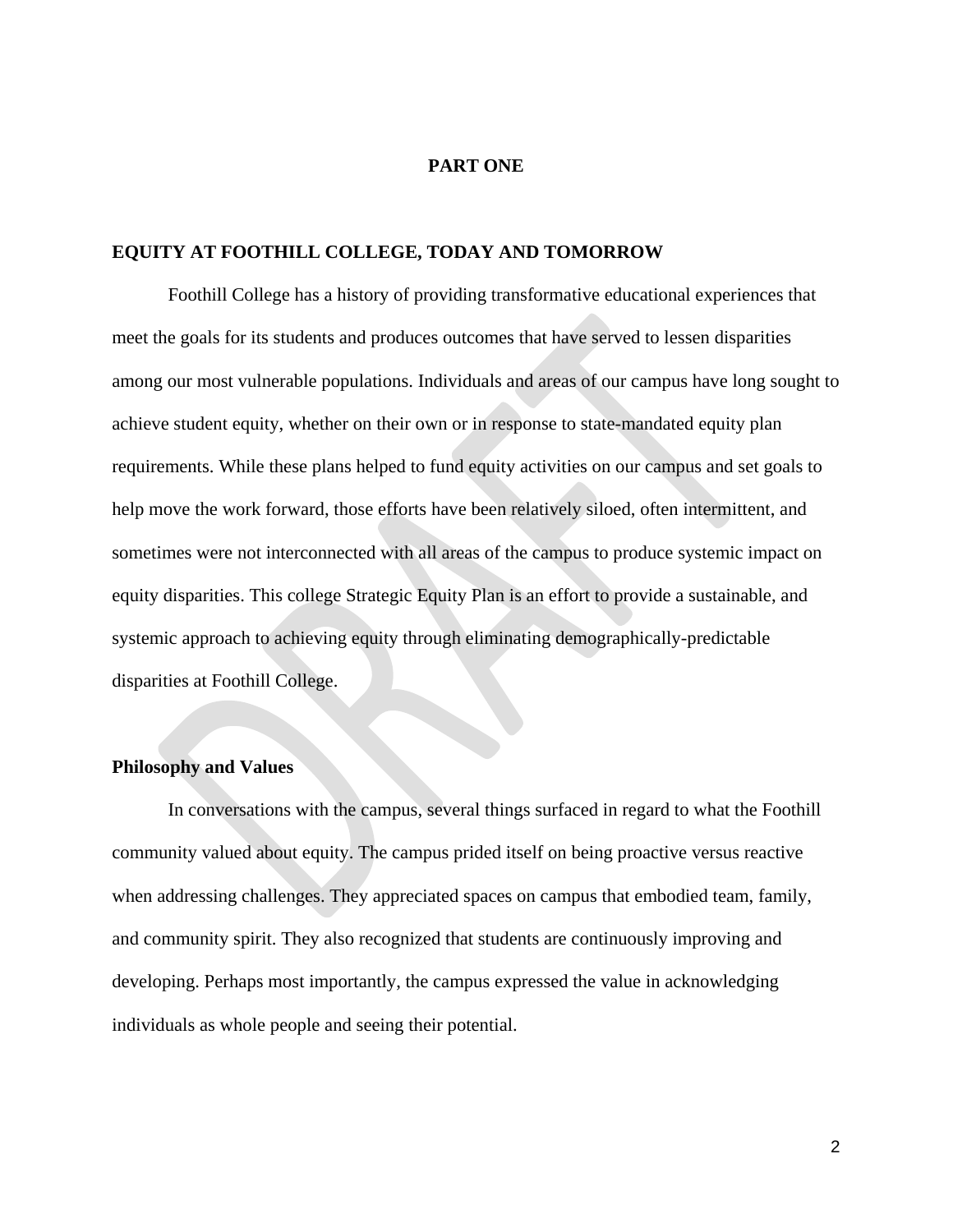# **PART ONE**

### **EQUITY AT FOOTHILL COLLEGE, TODAY AND TOMORROW**

Foothill College has a history of providing transformative educational experiences that meet the goals for its students and produces outcomes that have served to lessen disparities among our most vulnerable populations. Individuals and areas of our campus have long sought to achieve student equity, whether on their own or in response to state-mandated equity plan requirements. While these plans helped to fund equity activities on our campus and set goals to help move the work forward, those efforts have been relatively siloed, often intermittent, and sometimes were not interconnected with all areas of the campus to produce systemic impact on equity disparities. This college Strategic Equity Plan is an effort to provide a sustainable, and systemic approach to achieving equity through eliminating demographically-predictable disparities at Foothill College.

# **Philosophy and Values**

In conversations with the campus, several things surfaced in regard to what the Foothill community valued about equity. The campus prided itself on being proactive versus reactive when addressing challenges. They appreciated spaces on campus that embodied team, family, and community spirit. They also recognized that students are continuously improving and developing. Perhaps most importantly, the campus expressed the value in acknowledging individuals as whole people and seeing their potential.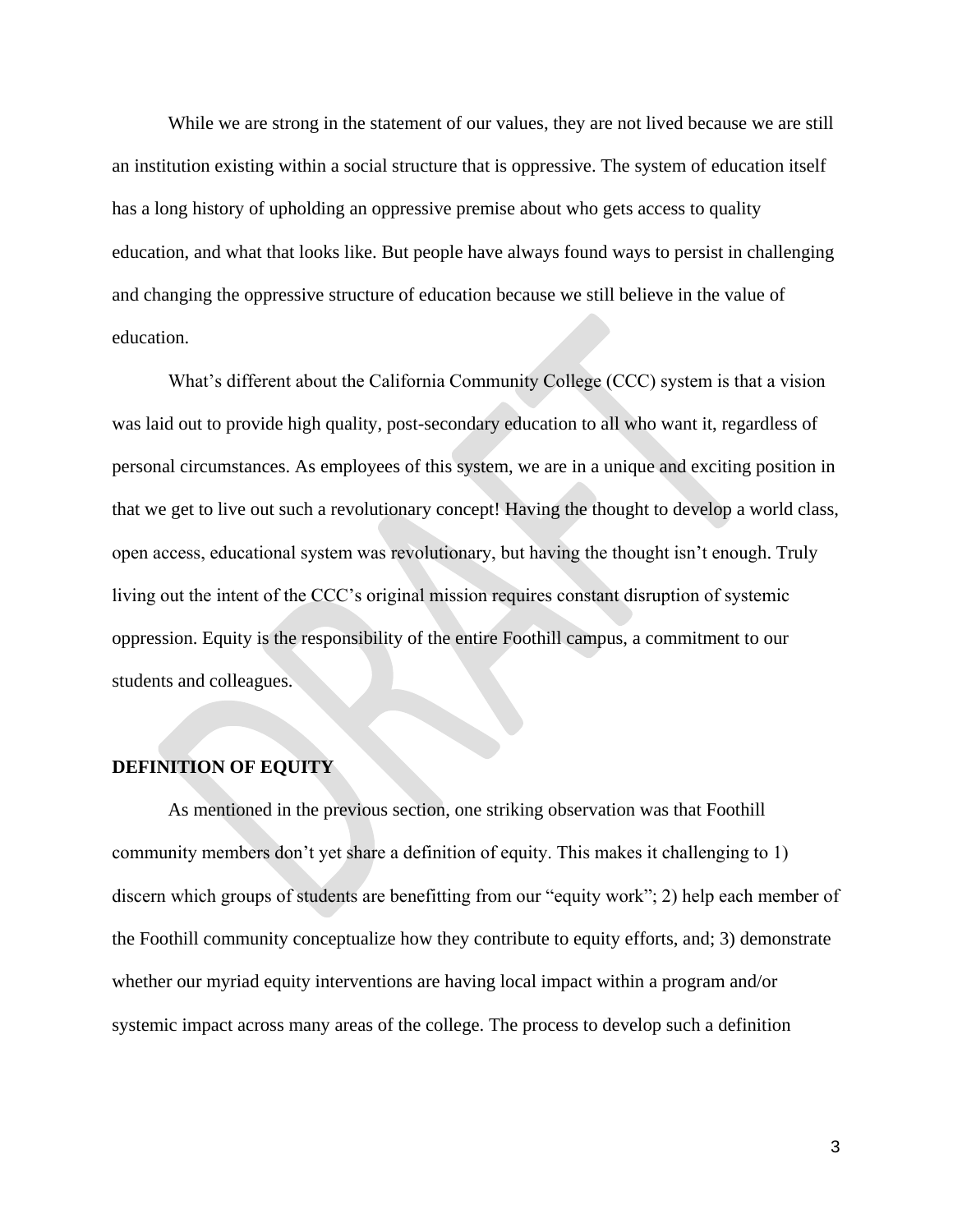While we are strong in the statement of our values, they are not lived because we are still an institution existing within a social structure that is oppressive. The system of education itself has a long history of upholding an oppressive premise about who gets access to quality education, and what that looks like. But people have always found ways to persist in challenging and changing the oppressive structure of education because we still believe in the value of education.

What's different about the California Community College (CCC) system is that a vision was laid out to provide high quality, post-secondary education to all who want it, regardless of personal circumstances. As employees of this system, we are in a unique and exciting position in that we get to live out such a revolutionary concept! Having the thought to develop a world class, open access, educational system was revolutionary, but having the thought isn't enough. Truly living out the intent of the CCC's original mission requires constant disruption of systemic oppression. Equity is the responsibility of the entire Foothill campus, a commitment to our students and colleagues.

# **DEFINITION OF EQUITY**

As mentioned in the previous section, one striking observation was that Foothill community members don't yet share a definition of equity. This makes it challenging to 1) discern which groups of students are benefitting from our "equity work"; 2) help each member of the Foothill community conceptualize how they contribute to equity efforts, and; 3) demonstrate whether our myriad equity interventions are having local impact within a program and/or systemic impact across many areas of the college. The process to develop such a definition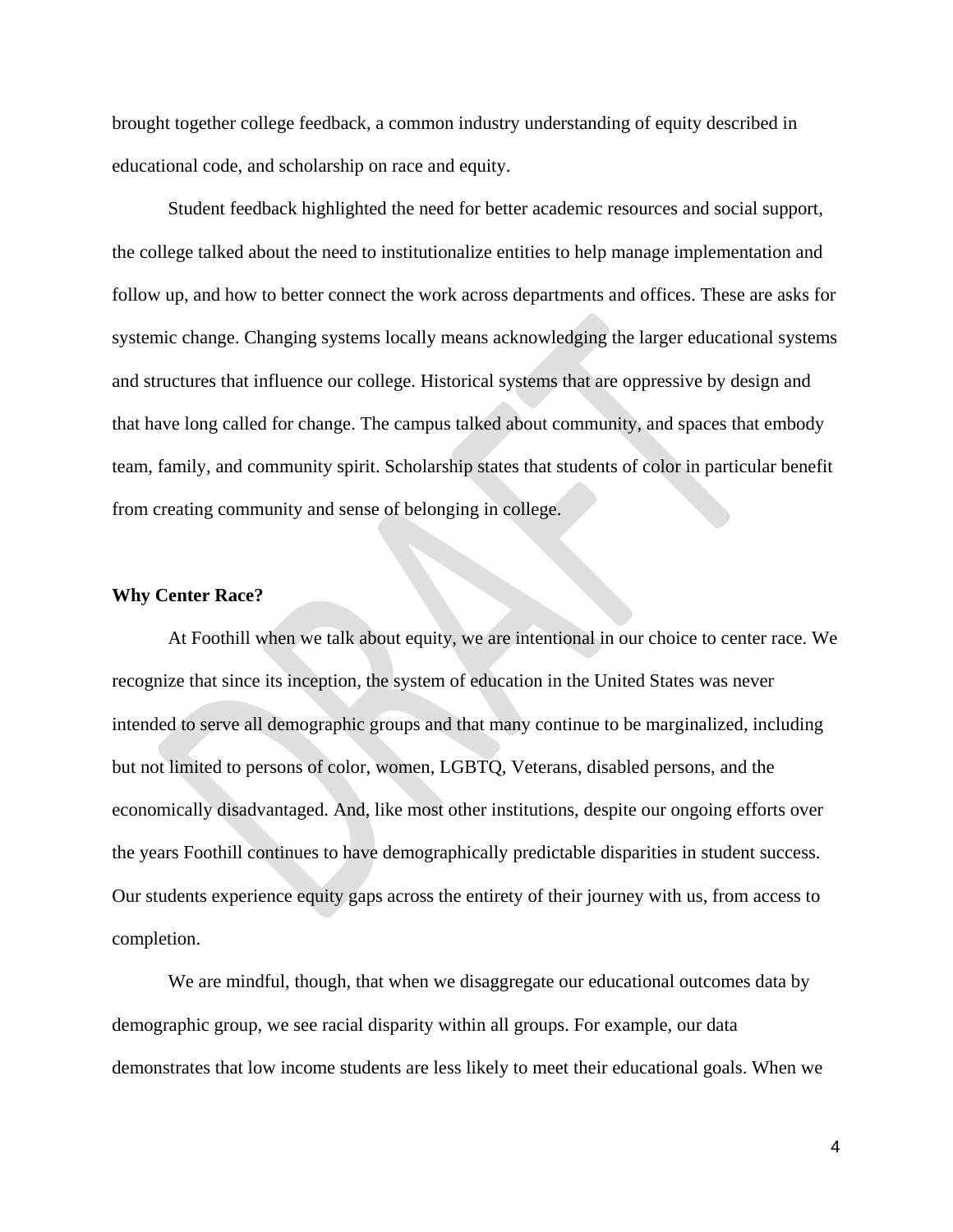brought together college feedback, a common industry understanding of equity described in educational code, and scholarship on race and equity.

Student feedback highlighted the need for better academic resources and social support, the college talked about the need to institutionalize entities to help manage implementation and follow up, and how to better connect the work across departments and offices. These are asks for systemic change. Changing systems locally means acknowledging the larger educational systems and structures that influence our college. Historical systems that are oppressive by design and that have long called for change. The campus talked about community, and spaces that embody team, family, and community spirit. Scholarship states that students of color in particular benefit from creating community and sense of belonging in college.

#### **Why Center Race?**

At Foothill when we talk about equity, we are intentional in our choice to center race. We recognize that since its inception, the system of education in the United States was never intended to serve all demographic groups and that many continue to be marginalized, including but not limited to persons of color, women, LGBTQ, Veterans, disabled persons, and the economically disadvantaged. And, like most other institutions, despite our ongoing efforts over the years Foothill continues to have demographically predictable disparities in student success. Our students experience equity gaps across the entirety of their journey with us, from access to completion.

We are mindful, though, that when we disaggregate our educational outcomes data by demographic group, we see racial disparity within all groups. For example, our data demonstrates that low income students are less likely to meet their educational goals. When we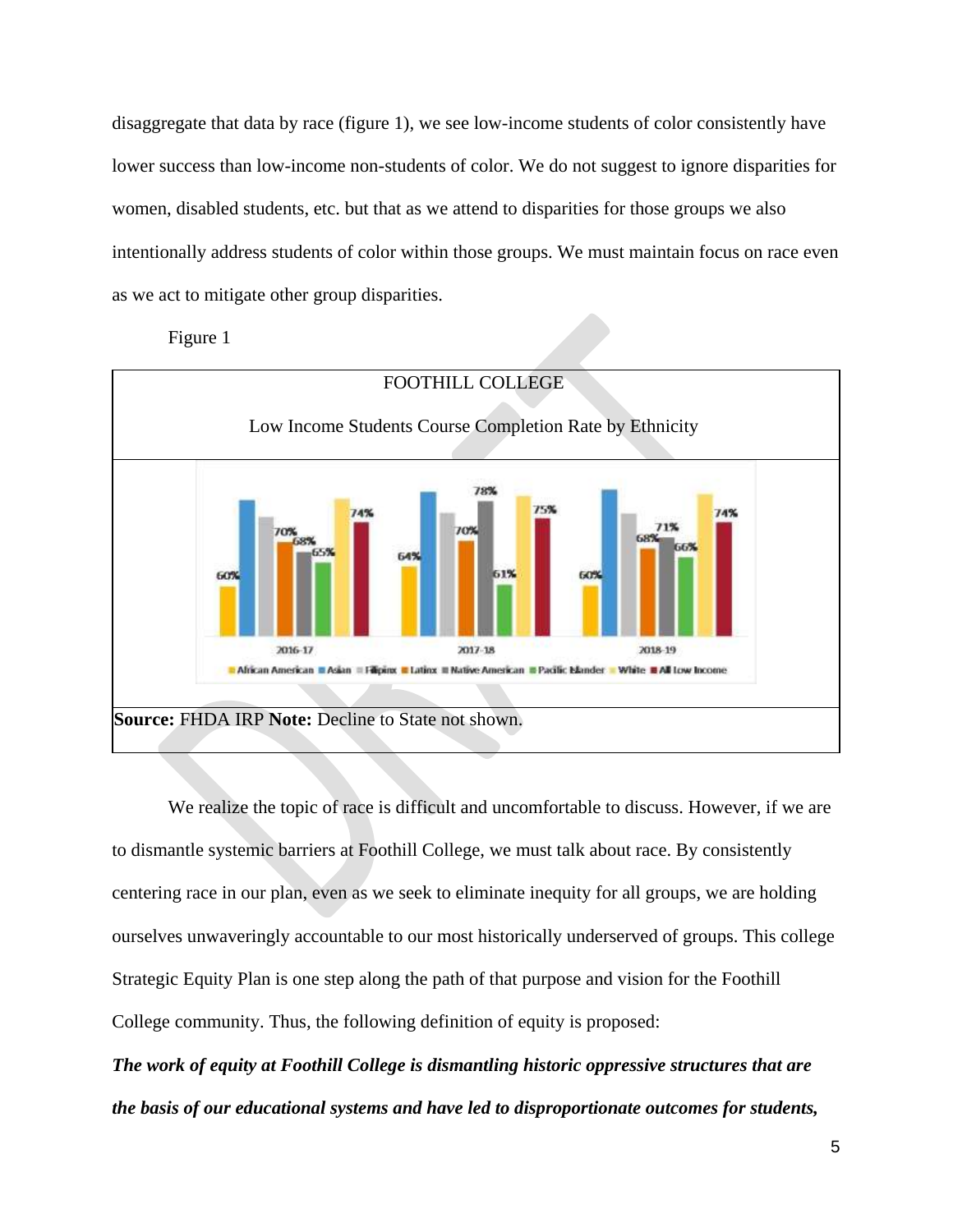disaggregate that data by race (figure 1), we see low-income students of color consistently have lower success than low-income non-students of color. We do not suggest to ignore disparities for women, disabled students, etc. but that as we attend to disparities for those groups we also intentionally address students of color within those groups. We must maintain focus on race even as we act to mitigate other group disparities.

Figure 1



We realize the topic of race is difficult and uncomfortable to discuss. However, if we are to dismantle systemic barriers at Foothill College, we must talk about race. By consistently centering race in our plan, even as we seek to eliminate inequity for all groups, we are holding ourselves unwaveringly accountable to our most historically underserved of groups. This college Strategic Equity Plan is one step along the path of that purpose and vision for the Foothill College community. Thus, the following definition of equity is proposed:

*The work of equity at Foothill College is dismantling historic oppressive structures that are the basis of our educational systems and have led to disproportionate outcomes for students,*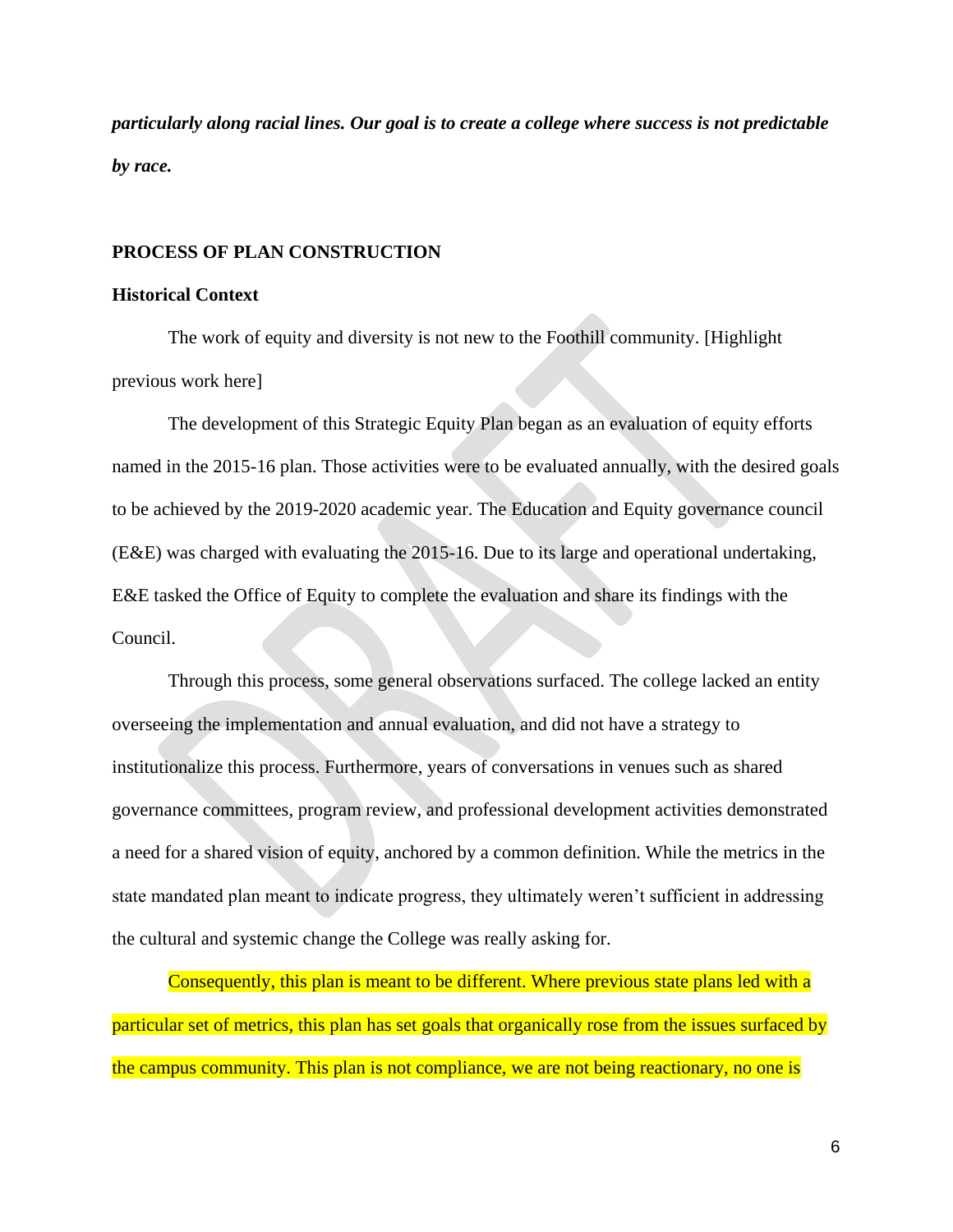*particularly along racial lines. Our goal is to create a college where success is not predictable by race.*

#### **PROCESS OF PLAN CONSTRUCTION**

#### **Historical Context**

The work of equity and diversity is not new to the Foothill community. [Highlight previous work here]

The development of this Strategic Equity Plan began as an evaluation of equity efforts named in the 2015-16 plan. Those activities were to be evaluated annually, with the desired goals to be achieved by the 2019-2020 academic year. The Education and Equity governance council (E&E) was charged with evaluating the 2015-16. Due to its large and operational undertaking, E&E tasked the Office of Equity to complete the evaluation and share its findings with the Council.

Through this process, some general observations surfaced. The college lacked an entity overseeing the implementation and annual evaluation, and did not have a strategy to institutionalize this process. Furthermore, years of conversations in venues such as shared governance committees, program review, and professional development activities demonstrated a need for a shared vision of equity, anchored by a common definition. While the metrics in the state mandated plan meant to indicate progress, they ultimately weren't sufficient in addressing the cultural and systemic change the College was really asking for.

Consequently, this plan is meant to be different. Where previous state plans led with a particular set of metrics, this plan has set goals that organically rose from the issues surfaced by the campus community. This plan is not compliance, we are not being reactionary, no one is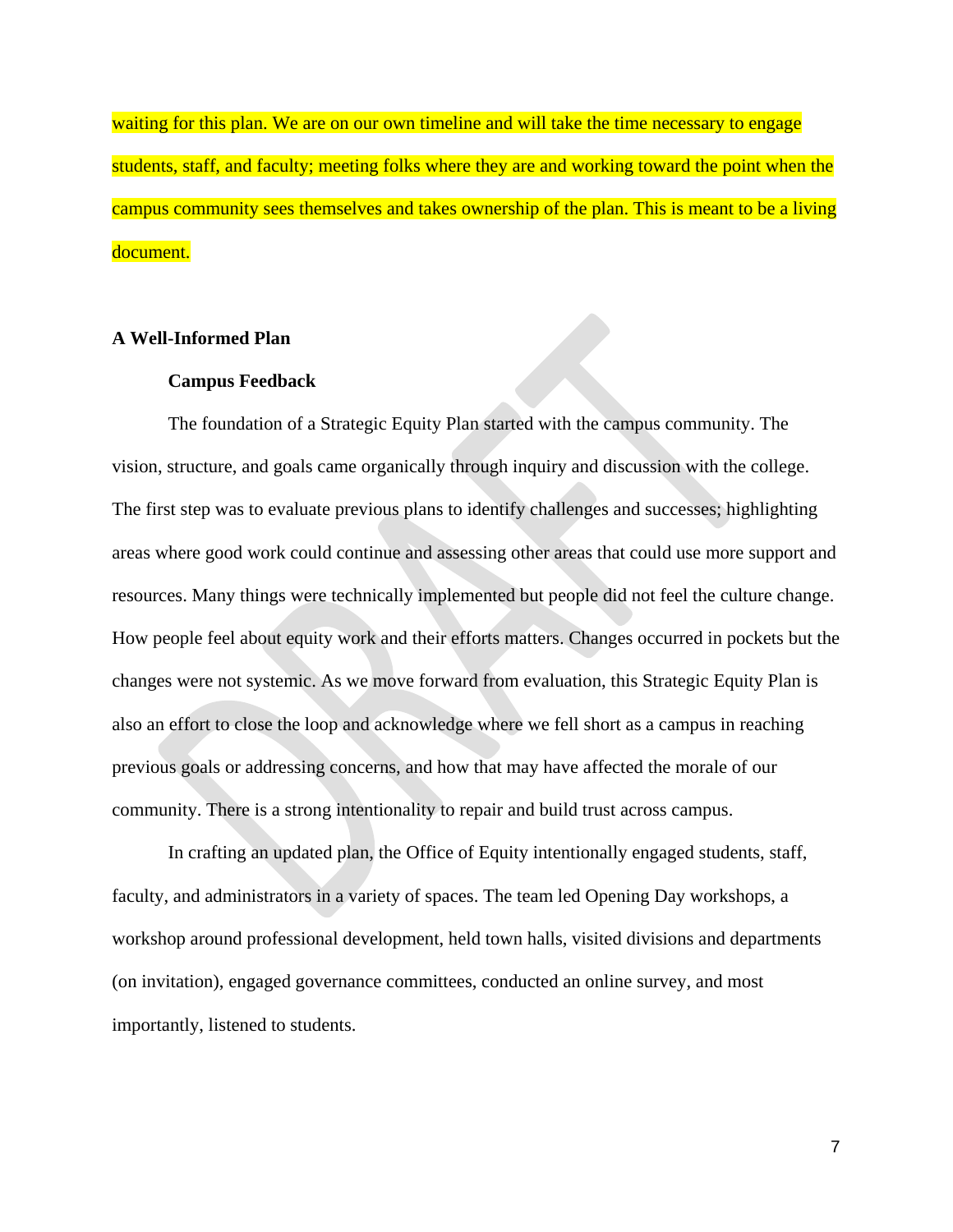waiting for this plan. We are on our own timeline and will take the time necessary to engage students, staff, and faculty; meeting folks where they are and working toward the point when the campus community sees themselves and takes ownership of the plan. This is meant to be a living document.

# **A Well-Informed Plan**

#### **Campus Feedback**

The foundation of a Strategic Equity Plan started with the campus community. The vision, structure, and goals came organically through inquiry and discussion with the college. The first step was to evaluate previous plans to identify challenges and successes; highlighting areas where good work could continue and assessing other areas that could use more support and resources. Many things were technically implemented but people did not feel the culture change. How people feel about equity work and their efforts matters. Changes occurred in pockets but the changes were not systemic. As we move forward from evaluation, this Strategic Equity Plan is also an effort to close the loop and acknowledge where we fell short as a campus in reaching previous goals or addressing concerns, and how that may have affected the morale of our community. There is a strong intentionality to repair and build trust across campus.

In crafting an updated plan, the Office of Equity intentionally engaged students, staff, faculty, and administrators in a variety of spaces. The team led Opening Day workshops, a workshop around professional development, held town halls, visited divisions and departments (on invitation), engaged governance committees, conducted an online survey, and most importantly, listened to students.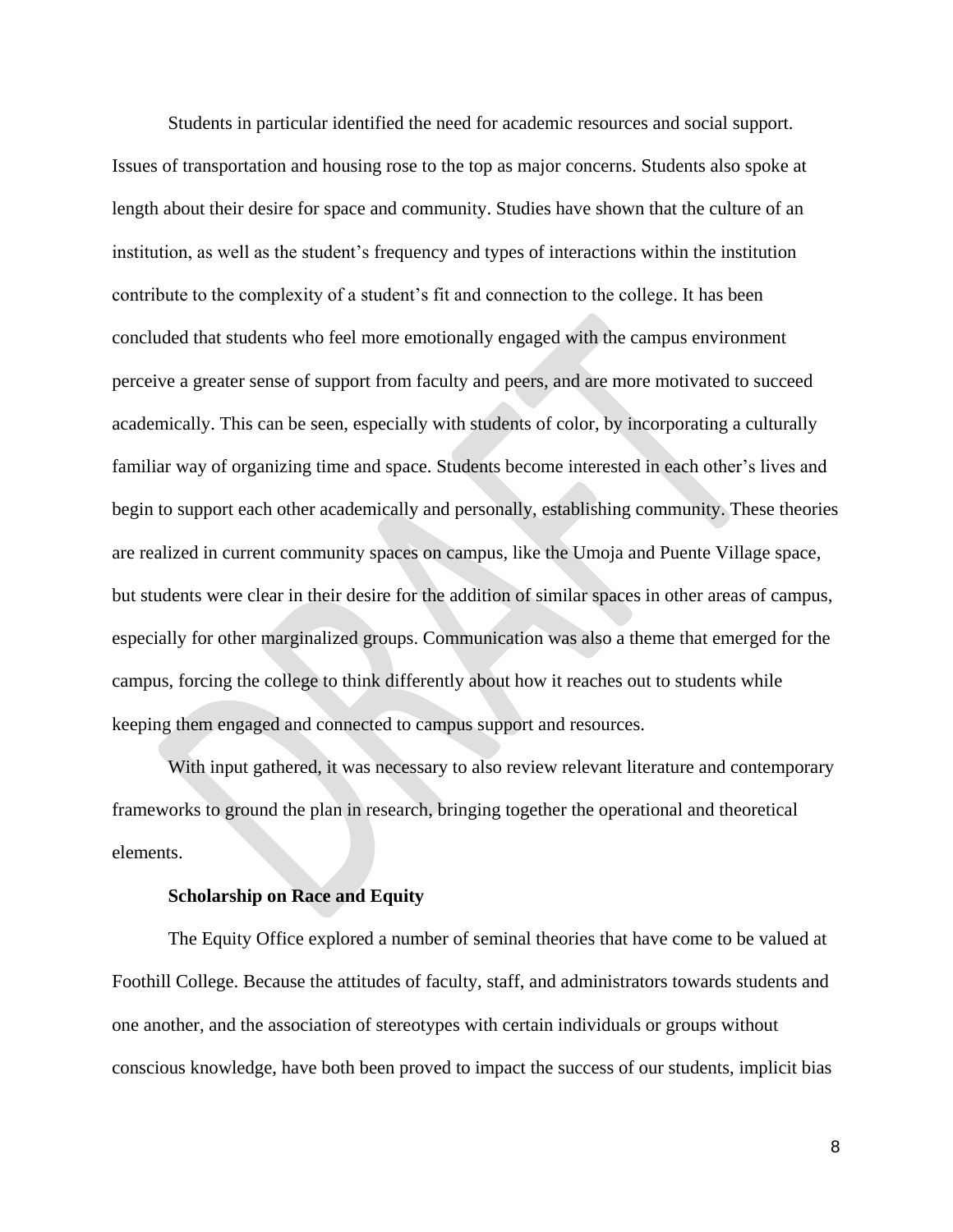Students in particular identified the need for academic resources and social support. Issues of transportation and housing rose to the top as major concerns. Students also spoke at length about their desire for space and community. Studies have shown that the culture of an institution, as well as the student's frequency and types of interactions within the institution contribute to the complexity of a student's fit and connection to the college. It has been concluded that students who feel more emotionally engaged with the campus environment perceive a greater sense of support from faculty and peers, and are more motivated to succeed academically. This can be seen, especially with students of color, by incorporating a culturally familiar way of organizing time and space. Students become interested in each other's lives and begin to support each other academically and personally, establishing community. These theories are realized in current community spaces on campus, like the Umoja and Puente Village space, but students were clear in their desire for the addition of similar spaces in other areas of campus, especially for other marginalized groups. Communication was also a theme that emerged for the campus, forcing the college to think differently about how it reaches out to students while keeping them engaged and connected to campus support and resources.

With input gathered, it was necessary to also review relevant literature and contemporary frameworks to ground the plan in research, bringing together the operational and theoretical elements.

#### **Scholarship on Race and Equity**

The Equity Office explored a number of seminal theories that have come to be valued at Foothill College. Because the attitudes of faculty, staff, and administrators towards students and one another, and the association of stereotypes with certain individuals or groups without conscious knowledge, have both been proved to impact the success of our students, implicit bias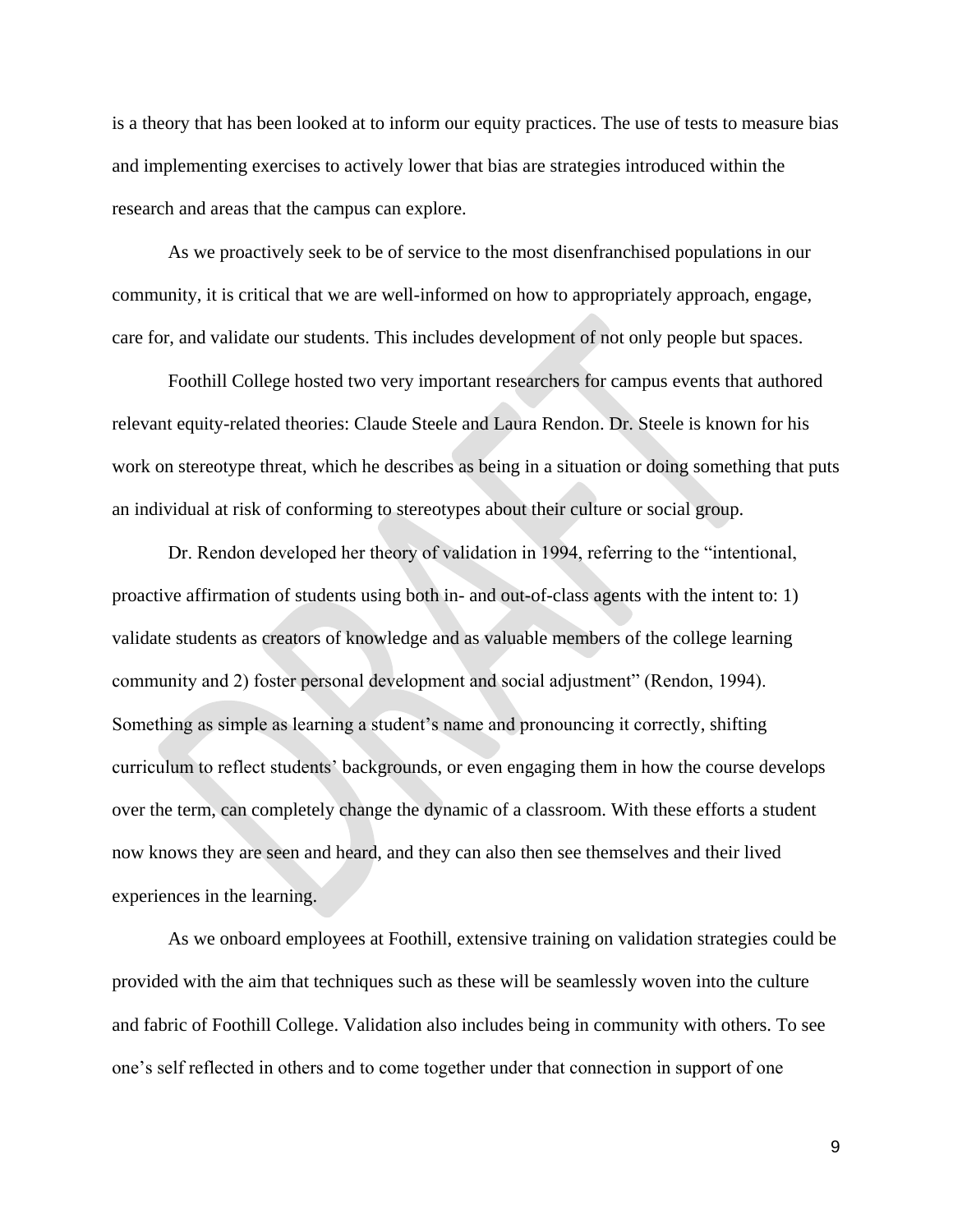is a theory that has been looked at to inform our equity practices. The use of tests to measure bias and implementing exercises to actively lower that bias are strategies introduced within the research and areas that the campus can explore.

As we proactively seek to be of service to the most disenfranchised populations in our community, it is critical that we are well-informed on how to appropriately approach, engage, care for, and validate our students. This includes development of not only people but spaces.

Foothill College hosted two very important researchers for campus events that authored relevant equity-related theories: Claude Steele and Laura Rendon. Dr. Steele is known for his work on stereotype threat, which he describes as being in a situation or doing something that puts an individual at risk of conforming to stereotypes about their culture or social group.

Dr. Rendon developed her theory of validation in 1994, referring to the "intentional, proactive affirmation of students using both in- and out-of-class agents with the intent to: 1) validate students as creators of knowledge and as valuable members of the college learning community and 2) foster personal development and social adjustment" (Rendon, 1994). Something as simple as learning a student's name and pronouncing it correctly, shifting curriculum to reflect students' backgrounds, or even engaging them in how the course develops over the term, can completely change the dynamic of a classroom. With these efforts a student now knows they are seen and heard, and they can also then see themselves and their lived experiences in the learning.

As we onboard employees at Foothill, extensive training on validation strategies could be provided with the aim that techniques such as these will be seamlessly woven into the culture and fabric of Foothill College. Validation also includes being in community with others. To see one's self reflected in others and to come together under that connection in support of one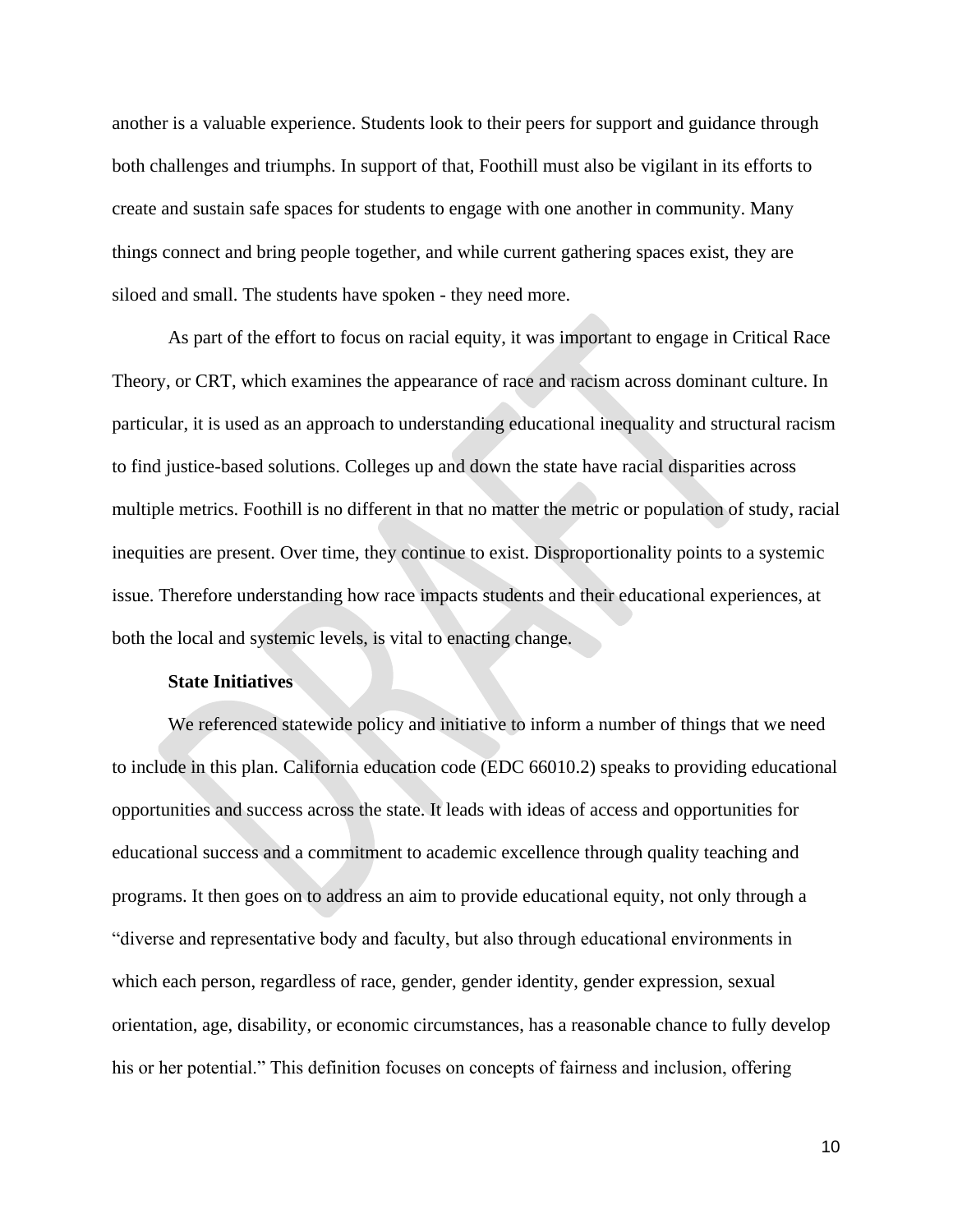another is a valuable experience. Students look to their peers for support and guidance through both challenges and triumphs. In support of that, Foothill must also be vigilant in its efforts to create and sustain safe spaces for students to engage with one another in community. Many things connect and bring people together, and while current gathering spaces exist, they are siloed and small. The students have spoken - they need more.

As part of the effort to focus on racial equity, it was important to engage in Critical Race Theory, or CRT, which examines the appearance of race and racism across dominant culture. In particular, it is used as an approach to understanding educational inequality and structural racism to find justice-based solutions. Colleges up and down the state have racial disparities across multiple metrics. Foothill is no different in that no matter the metric or population of study, racial inequities are present. Over time, they continue to exist. Disproportionality points to a systemic issue. Therefore understanding how race impacts students and their educational experiences, at both the local and systemic levels, is vital to enacting change.

## **State Initiatives**

We referenced statewide policy and initiative to inform a number of things that we need to include in this plan. California education code (EDC 66010.2) speaks to providing educational opportunities and success across the state. It leads with ideas of access and opportunities for educational success and a commitment to academic excellence through quality teaching and programs. It then goes on to address an aim to provide educational equity, not only through a "diverse and representative body and faculty, but also through educational environments in which each person, regardless of race, gender, gender identity, gender expression, sexual orientation, age, disability, or economic circumstances, has a reasonable chance to fully develop his or her potential." This definition focuses on concepts of fairness and inclusion, offering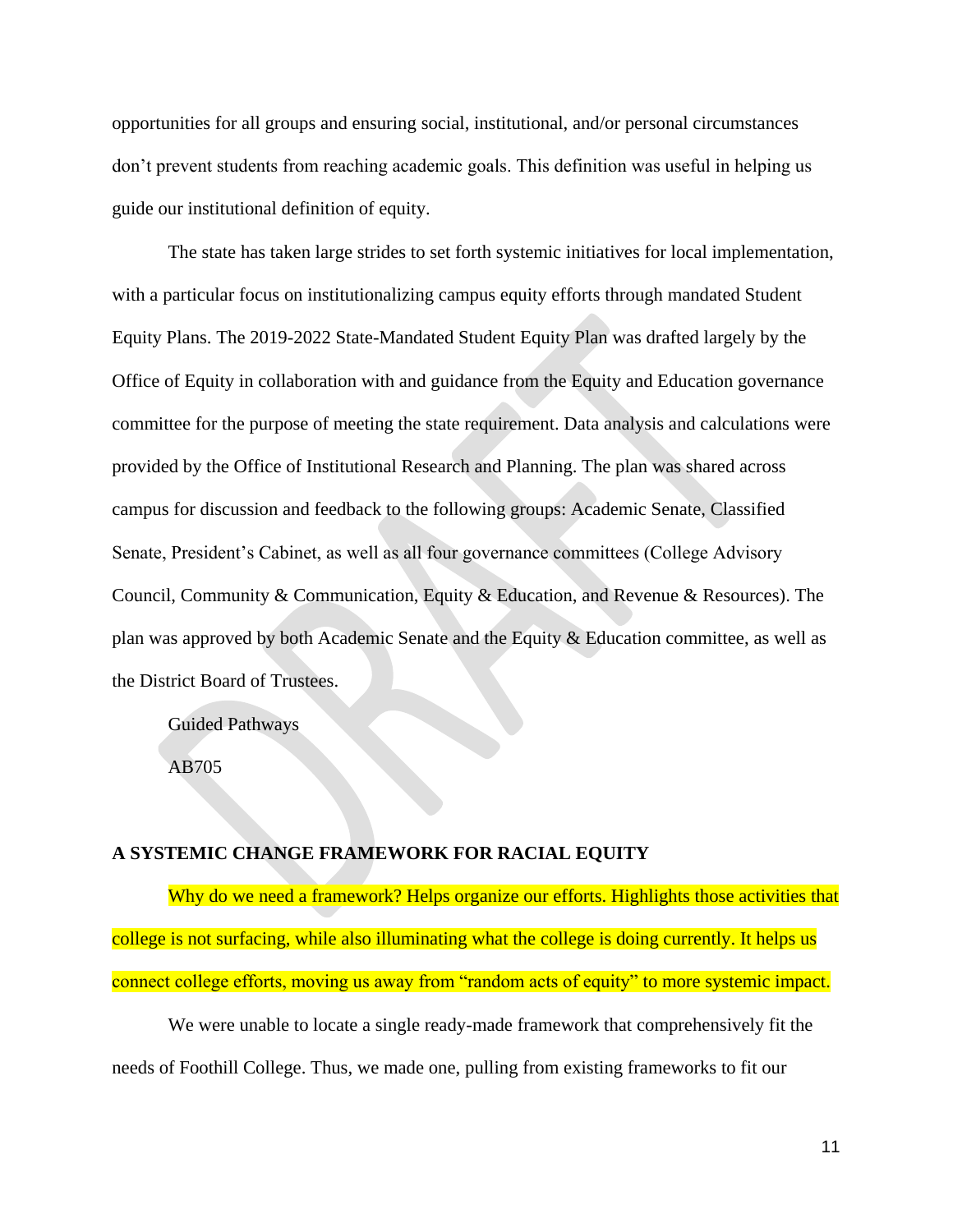opportunities for all groups and ensuring social, institutional, and/or personal circumstances don't prevent students from reaching academic goals. This definition was useful in helping us guide our institutional definition of equity.

The state has taken large strides to set forth systemic initiatives for local implementation, with a particular focus on institutionalizing campus equity efforts through mandated Student Equity Plans. The 2019-2022 State-Mandated Student Equity Plan was drafted largely by the Office of Equity in collaboration with and guidance from the Equity and Education governance committee for the purpose of meeting the state requirement. Data analysis and calculations were provided by the Office of Institutional Research and Planning. The plan was shared across campus for discussion and feedback to the following groups: Academic Senate, Classified Senate, President's Cabinet, as well as all four governance committees (College Advisory Council, Community & Communication, Equity & Education, and Revenue & Resources). The plan was approved by both Academic Senate and the Equity & Education committee, as well as the District Board of Trustees.

Guided Pathways AB705

## **A SYSTEMIC CHANGE FRAMEWORK FOR RACIAL EQUITY**

Why do we need a framework? Helps organize our efforts. Highlights those activities that college is not surfacing, while also illuminating what the college is doing currently. It helps us connect college efforts, moving us away from "random acts of equity" to more systemic impact.

We were unable to locate a single ready-made framework that comprehensively fit the needs of Foothill College. Thus, we made one, pulling from existing frameworks to fit our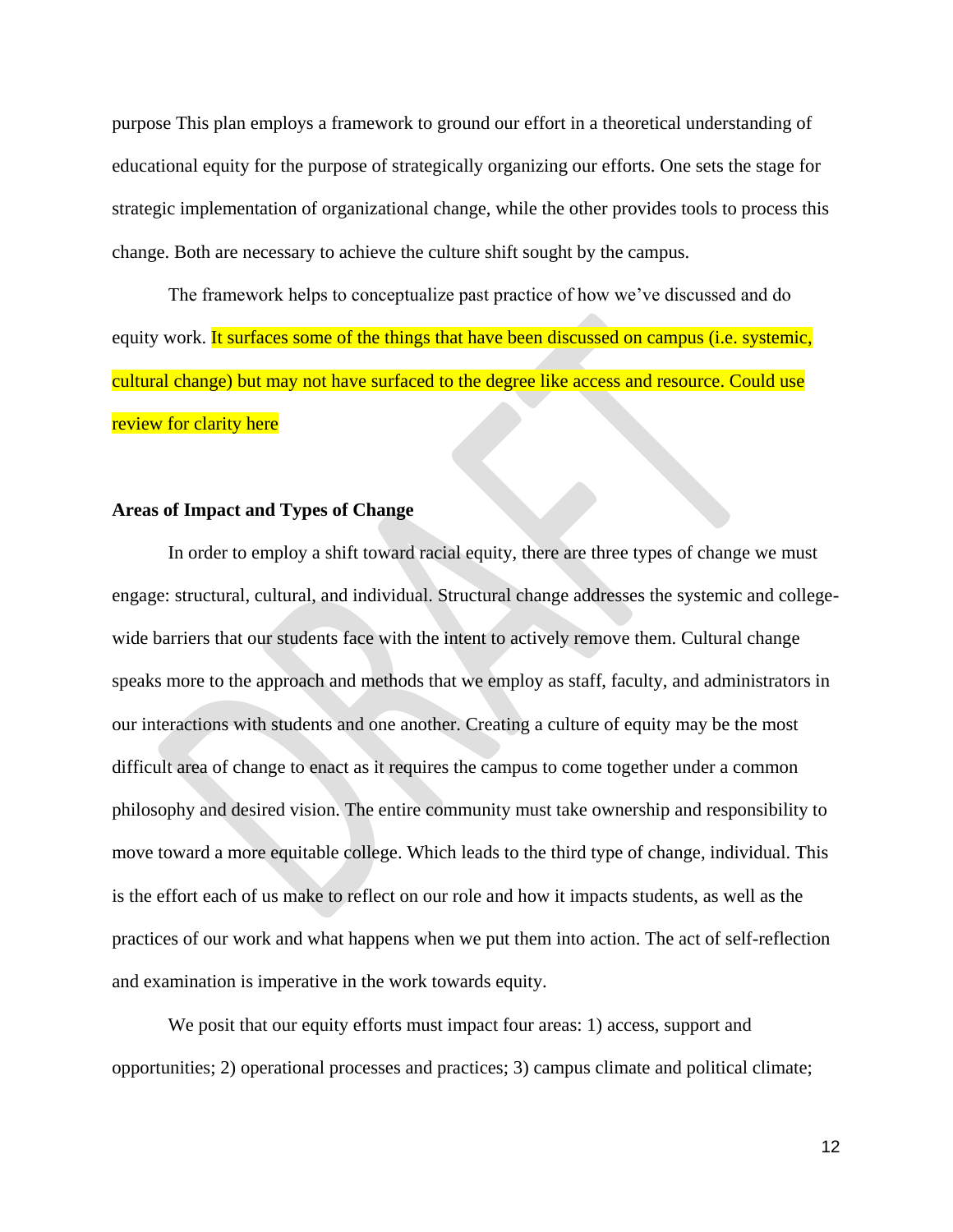purpose This plan employs a framework to ground our effort in a theoretical understanding of educational equity for the purpose of strategically organizing our efforts. One sets the stage for strategic implementation of organizational change, while the other provides tools to process this change. Both are necessary to achieve the culture shift sought by the campus.

The framework helps to conceptualize past practice of how we've discussed and do equity work. It surfaces some of the things that have been discussed on campus (i.e. systemic, cultural change) but may not have surfaced to the degree like access and resource. Could use review for clarity here

#### **Areas of Impact and Types of Change**

In order to employ a shift toward racial equity, there are three types of change we must engage: structural, cultural, and individual. Structural change addresses the systemic and collegewide barriers that our students face with the intent to actively remove them. Cultural change speaks more to the approach and methods that we employ as staff, faculty, and administrators in our interactions with students and one another. Creating a culture of equity may be the most difficult area of change to enact as it requires the campus to come together under a common philosophy and desired vision. The entire community must take ownership and responsibility to move toward a more equitable college. Which leads to the third type of change, individual. This is the effort each of us make to reflect on our role and how it impacts students, as well as the practices of our work and what happens when we put them into action. The act of self-reflection and examination is imperative in the work towards equity.

We posit that our equity efforts must impact four areas: 1) access, support and opportunities; 2) operational processes and practices; 3) campus climate and political climate;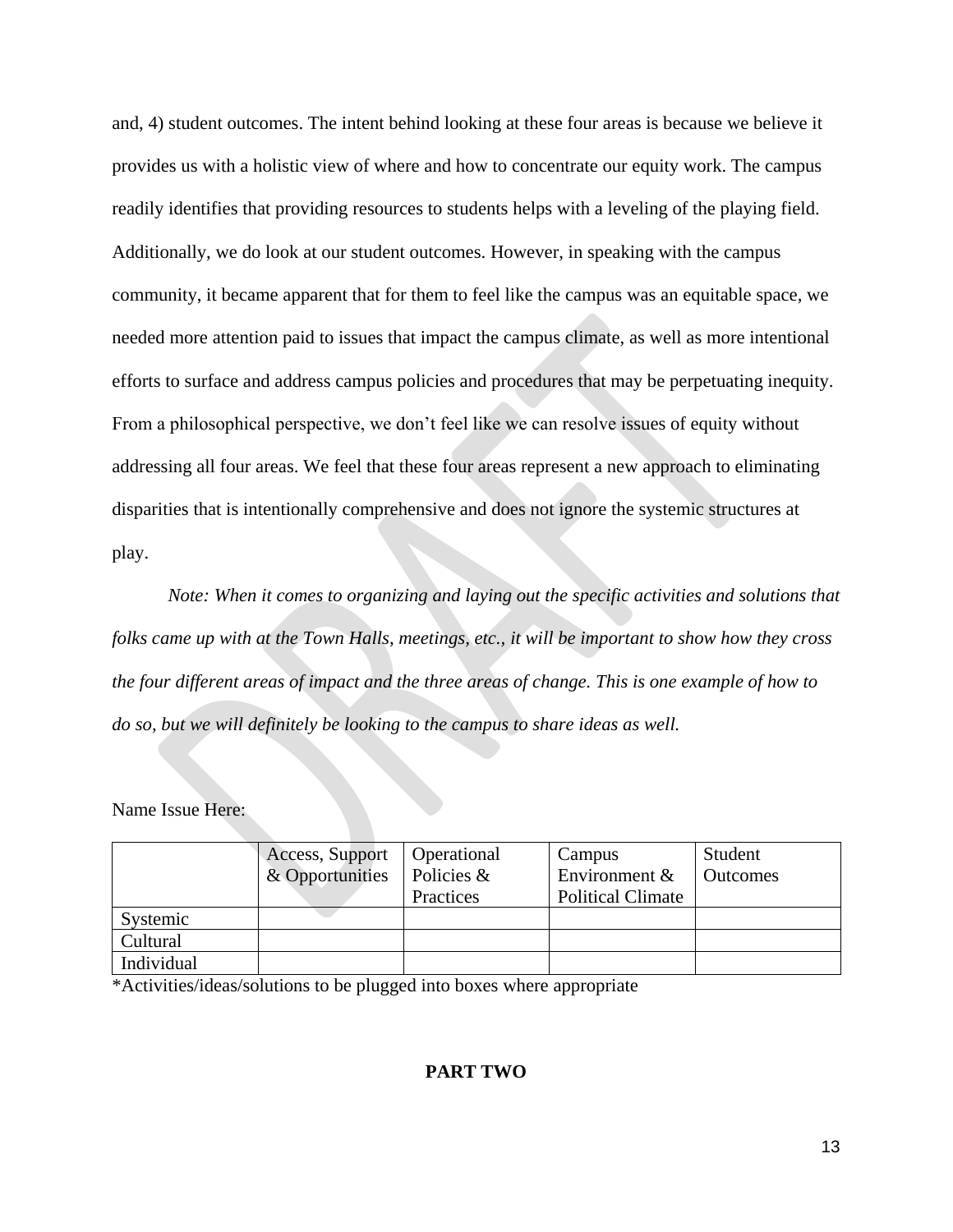and, 4) student outcomes. The intent behind looking at these four areas is because we believe it provides us with a holistic view of where and how to concentrate our equity work. The campus readily identifies that providing resources to students helps with a leveling of the playing field. Additionally, we do look at our student outcomes. However, in speaking with the campus community, it became apparent that for them to feel like the campus was an equitable space, we needed more attention paid to issues that impact the campus climate, as well as more intentional efforts to surface and address campus policies and procedures that may be perpetuating inequity. From a philosophical perspective, we don't feel like we can resolve issues of equity without addressing all four areas. We feel that these four areas represent a new approach to eliminating disparities that is intentionally comprehensive and does not ignore the systemic structures at play.

*Note: When it comes to organizing and laying out the specific activities and solutions that folks came up with at the Town Halls, meetings, etc., it will be important to show how they cross the four different areas of impact and the three areas of change. This is one example of how to do so, but we will definitely be looking to the campus to share ideas as well.* 

Name Issue Here:

|            | Access, Support<br>& Opportunities | Operational<br>Policies & | Campus<br>Environment $\&$ | Student<br><b>Outcomes</b> |
|------------|------------------------------------|---------------------------|----------------------------|----------------------------|
|            |                                    | Practices                 | <b>Political Climate</b>   |                            |
| Systemic   |                                    |                           |                            |                            |
| Cultural   |                                    |                           |                            |                            |
| Individual |                                    |                           |                            |                            |

\*Activities/ideas/solutions to be plugged into boxes where appropriate

# **PART TWO**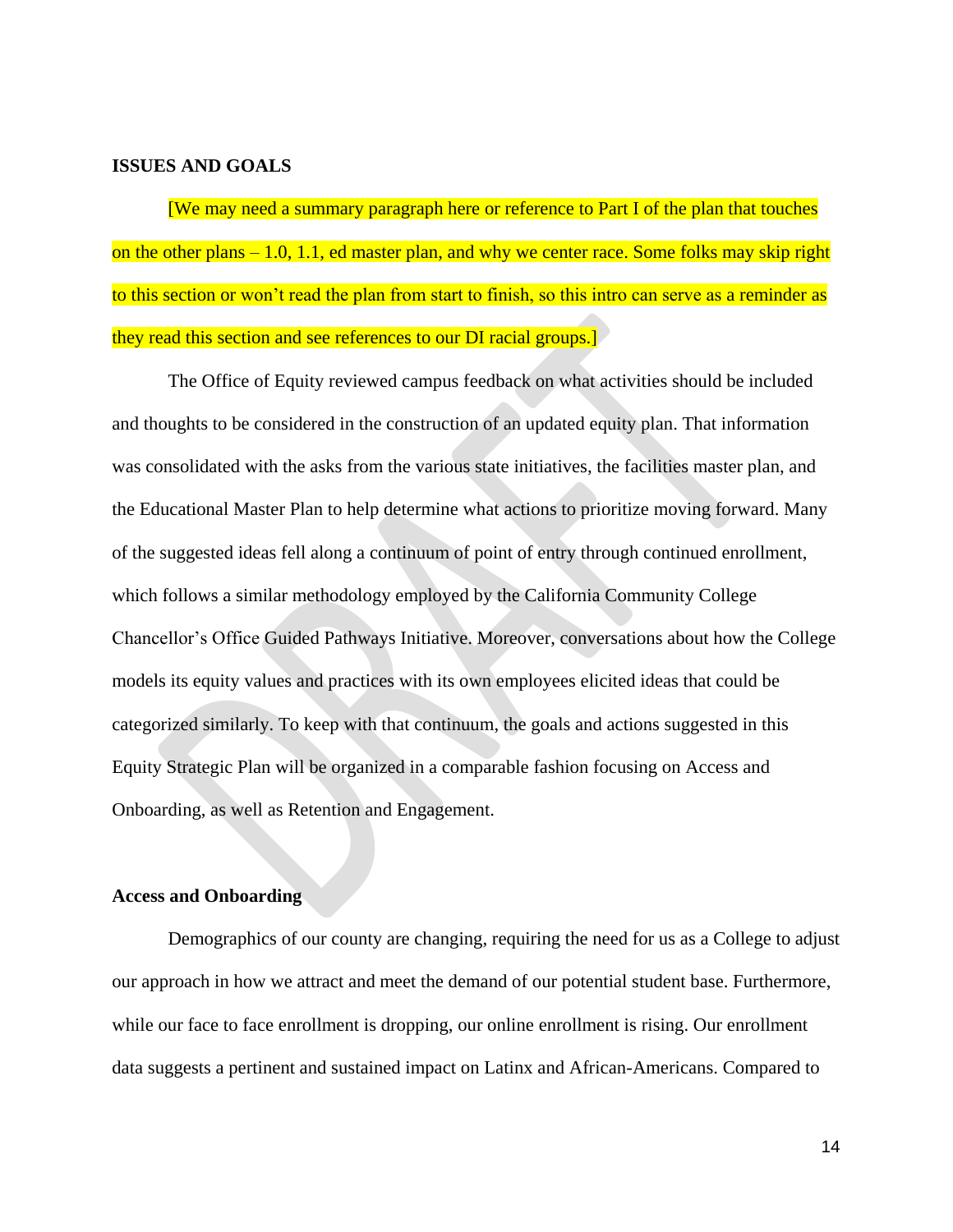## **ISSUES AND GOALS**

[We may need a summary paragraph here or reference to Part I of the plan that touches on the other plans – 1.0, 1.1, ed master plan, and why we center race. Some folks may skip right to this section or won't read the plan from start to finish, so this intro can serve as a reminder as they read this section and see references to our DI racial groups.]

The Office of Equity reviewed campus feedback on what activities should be included and thoughts to be considered in the construction of an updated equity plan. That information was consolidated with the asks from the various state initiatives, the facilities master plan, and the Educational Master Plan to help determine what actions to prioritize moving forward. Many of the suggested ideas fell along a continuum of point of entry through continued enrollment, which follows a similar methodology employed by the California Community College Chancellor's Office Guided Pathways Initiative. Moreover, conversations about how the College models its equity values and practices with its own employees elicited ideas that could be categorized similarly. To keep with that continuum, the goals and actions suggested in this Equity Strategic Plan will be organized in a comparable fashion focusing on Access and Onboarding, as well as Retention and Engagement.

#### **Access and Onboarding**

Demographics of our county are changing, requiring the need for us as a College to adjust our approach in how we attract and meet the demand of our potential student base. Furthermore, while our face to face enrollment is dropping, our online enrollment is rising. Our enrollment data suggests a pertinent and sustained impact on Latinx and African-Americans. Compared to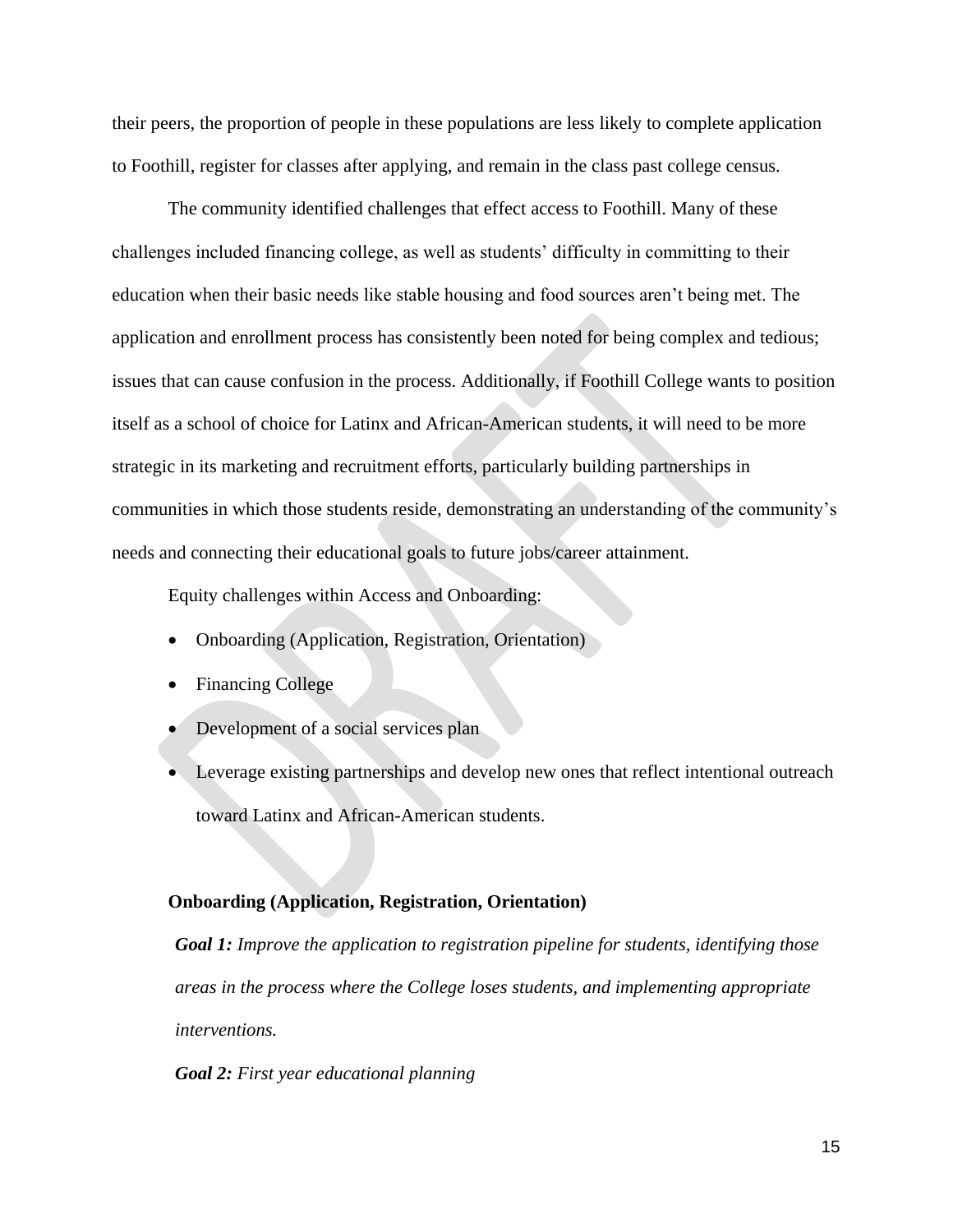their peers, the proportion of people in these populations are less likely to complete application to Foothill, register for classes after applying, and remain in the class past college census.

The community identified challenges that effect access to Foothill. Many of these challenges included financing college, as well as students' difficulty in committing to their education when their basic needs like stable housing and food sources aren't being met. The application and enrollment process has consistently been noted for being complex and tedious; issues that can cause confusion in the process. Additionally, if Foothill College wants to position itself as a school of choice for Latinx and African-American students, it will need to be more strategic in its marketing and recruitment efforts, particularly building partnerships in communities in which those students reside, demonstrating an understanding of the community's needs and connecting their educational goals to future jobs/career attainment.

Equity challenges within Access and Onboarding:

- Onboarding (Application, Registration, Orientation)
- Financing College
- Development of a social services plan
- Leverage existing partnerships and develop new ones that reflect intentional outreach toward Latinx and African-American students.

#### **Onboarding (Application, Registration, Orientation)**

*Goal 1: Improve the application to registration pipeline for students, identifying those areas in the process where the College loses students, and implementing appropriate interventions.*

*Goal 2: First year educational planning*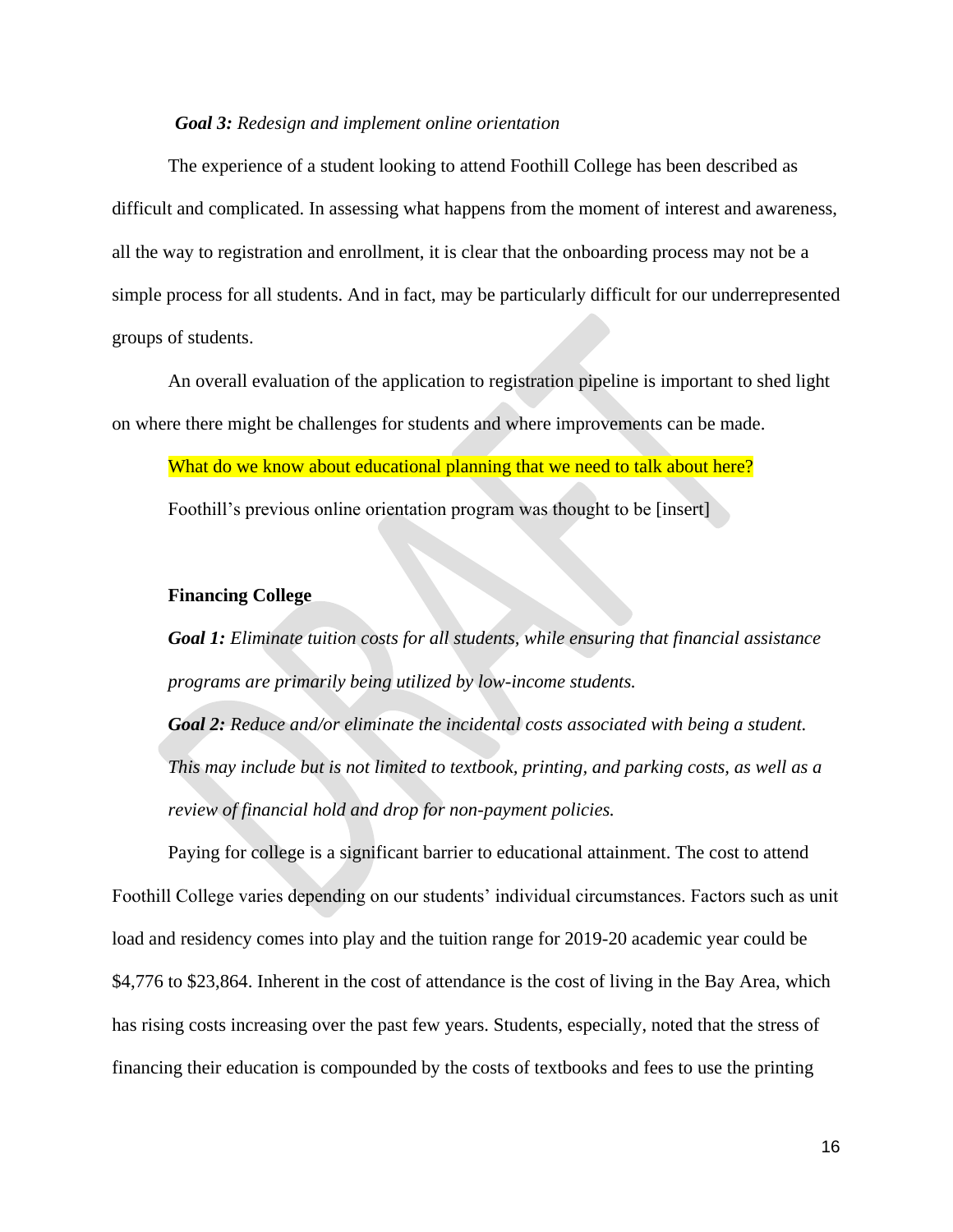#### *Goal 3: Redesign and implement online orientation*

The experience of a student looking to attend Foothill College has been described as difficult and complicated. In assessing what happens from the moment of interest and awareness, all the way to registration and enrollment, it is clear that the onboarding process may not be a simple process for all students. And in fact, may be particularly difficult for our underrepresented groups of students.

An overall evaluation of the application to registration pipeline is important to shed light on where there might be challenges for students and where improvements can be made.

What do we know about educational planning that we need to talk about here? Foothill's previous online orientation program was thought to be [insert]

#### **Financing College**

*Goal 1: Eliminate tuition costs for all students, while ensuring that financial assistance programs are primarily being utilized by low-income students.*

*Goal 2: Reduce and/or eliminate the incidental costs associated with being a student. This may include but is not limited to textbook, printing, and parking costs, as well as a review of financial hold and drop for non-payment policies.*

Paying for college is a significant barrier to educational attainment. The cost to attend Foothill College varies depending on our students' individual circumstances. Factors such as unit load and residency comes into play and the tuition range for 2019-20 academic year could be \$4,776 to \$23,864. Inherent in the cost of attendance is the cost of living in the Bay Area, which has rising costs increasing over the past few years. Students, especially, noted that the stress of financing their education is compounded by the costs of textbooks and fees to use the printing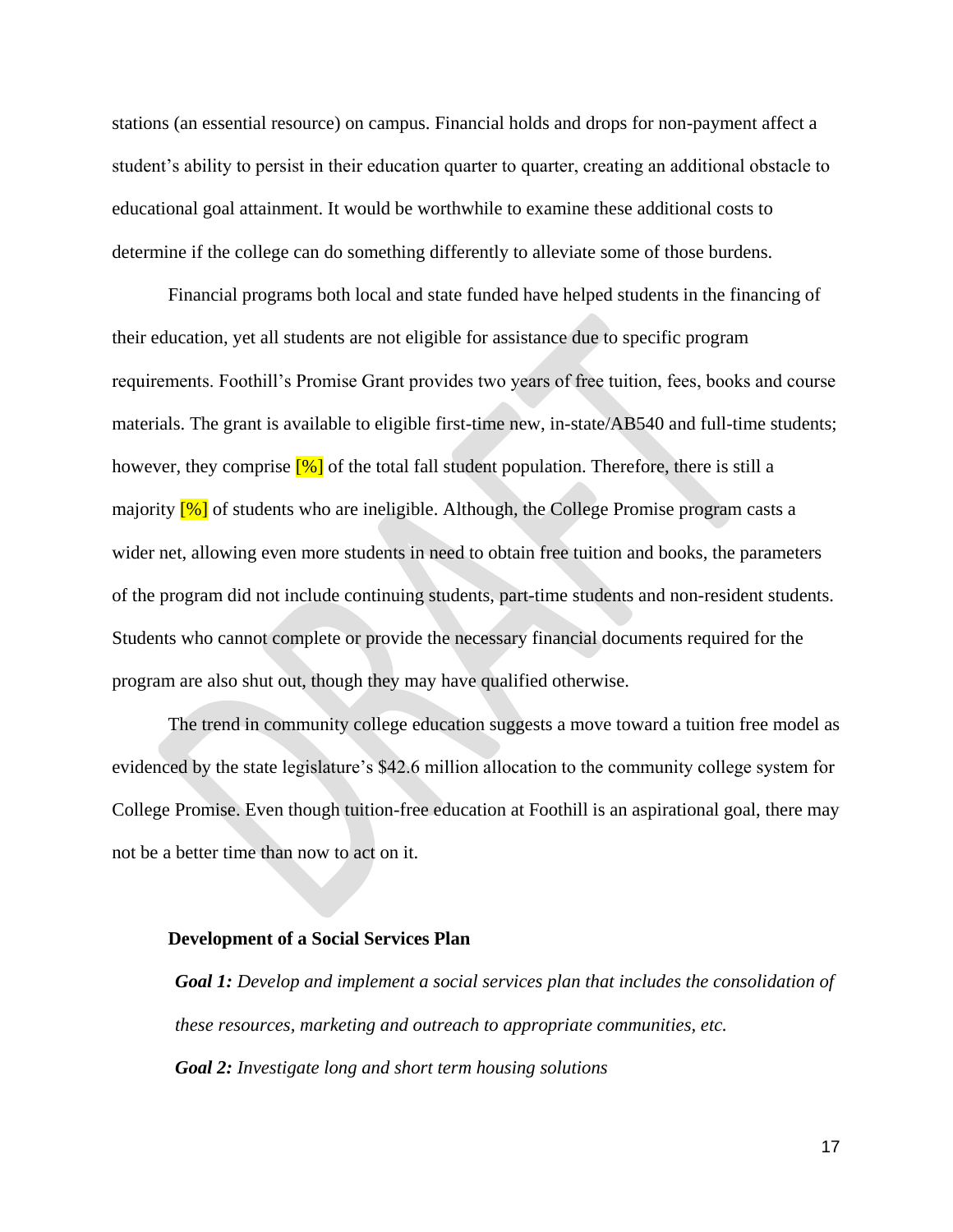stations (an essential resource) on campus. Financial holds and drops for non-payment affect a student's ability to persist in their education quarter to quarter, creating an additional obstacle to educational goal attainment. It would be worthwhile to examine these additional costs to determine if the college can do something differently to alleviate some of those burdens.

Financial programs both local and state funded have helped students in the financing of their education, yet all students are not eligible for assistance due to specific program requirements. Foothill's Promise Grant provides two years of free tuition, fees, books and course materials. The grant is available to eligible first-time new, in-state/AB540 and full-time students; however, they comprise  $[\%]$  of the total fall student population. Therefore, there is still a majority  $[\%]$  of students who are ineligible. Although, the College Promise program casts a wider net, allowing even more students in need to obtain free tuition and books, the parameters of the program did not include continuing students, part-time students and non-resident students. Students who cannot complete or provide the necessary financial documents required for the program are also shut out, though they may have qualified otherwise.

The trend in community college education suggests a move toward a tuition free model as evidenced by the state legislature's \$42.6 million allocation to the community college system for College Promise. Even though tuition-free education at Foothill is an aspirational goal, there may not be a better time than now to act on it.

#### **Development of a Social Services Plan**

*Goal 1: Develop and implement a social services plan that includes the consolidation of these resources, marketing and outreach to appropriate communities, etc. Goal 2: Investigate long and short term housing solutions*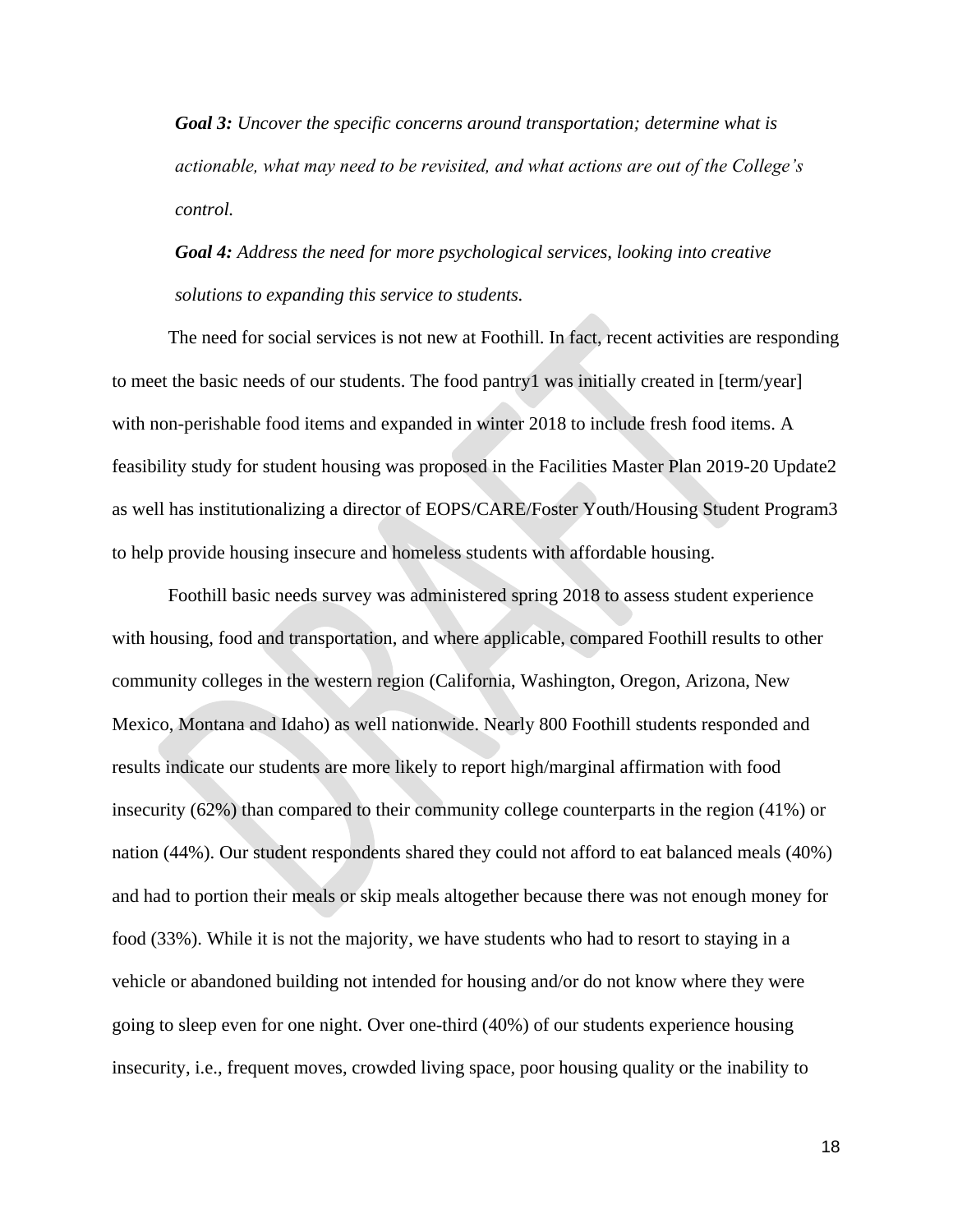*Goal 3: Uncover the specific concerns around transportation; determine what is actionable, what may need to be revisited, and what actions are out of the College's control.*

*Goal 4: Address the need for more psychological services, looking into creative solutions to expanding this service to students.*

The need for social services is not new at Foothill. In fact, recent activities are responding to meet the basic needs of our students. The food pantry1 was initially created in [term/year] with non-perishable food items and expanded in winter 2018 to include fresh food items. A feasibility study for student housing was proposed in the Facilities Master Plan 2019-20 Update2 as well has institutionalizing a director of EOPS/CARE/Foster Youth/Housing Student Program3 to help provide housing insecure and homeless students with affordable housing.

Foothill basic needs survey was administered spring 2018 to assess student experience with housing, food and transportation, and where applicable, compared Foothill results to other community colleges in the western region (California, Washington, Oregon, Arizona, New Mexico, Montana and Idaho) as well nationwide. Nearly 800 Foothill students responded and results indicate our students are more likely to report high/marginal affirmation with food insecurity (62%) than compared to their community college counterparts in the region (41%) or nation (44%). Our student respondents shared they could not afford to eat balanced meals (40%) and had to portion their meals or skip meals altogether because there was not enough money for food (33%). While it is not the majority, we have students who had to resort to staying in a vehicle or abandoned building not intended for housing and/or do not know where they were going to sleep even for one night. Over one-third (40%) of our students experience housing insecurity, i.e., frequent moves, crowded living space, poor housing quality or the inability to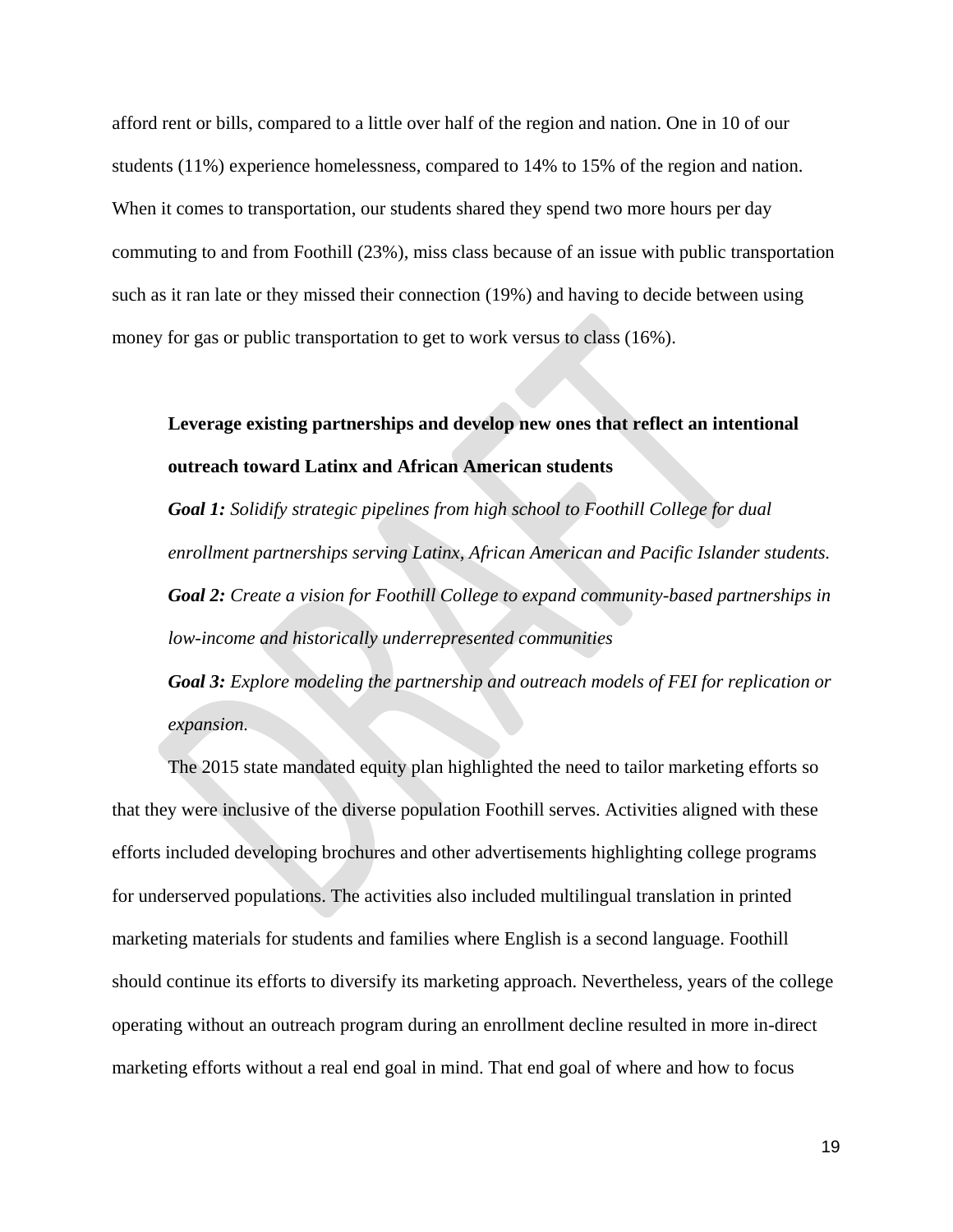afford rent or bills, compared to a little over half of the region and nation. One in 10 of our students (11%) experience homelessness, compared to 14% to 15% of the region and nation. When it comes to transportation, our students shared they spend two more hours per day commuting to and from Foothill (23%), miss class because of an issue with public transportation such as it ran late or they missed their connection (19%) and having to decide between using money for gas or public transportation to get to work versus to class (16%).

# **Leverage existing partnerships and develop new ones that reflect an intentional outreach toward Latinx and African American students**

*Goal 1: Solidify strategic pipelines from high school to Foothill College for dual enrollment partnerships serving Latinx, African American and Pacific Islander students. Goal 2: Create a vision for Foothill College to expand community-based partnerships in low-income and historically underrepresented communities Goal 3: Explore modeling the partnership and outreach models of FEI for replication or expansion.*

The 2015 state mandated equity plan highlighted the need to tailor marketing efforts so that they were inclusive of the diverse population Foothill serves. Activities aligned with these efforts included developing brochures and other advertisements highlighting college programs for underserved populations. The activities also included multilingual translation in printed marketing materials for students and families where English is a second language. Foothill should continue its efforts to diversify its marketing approach. Nevertheless, years of the college operating without an outreach program during an enrollment decline resulted in more in-direct marketing efforts without a real end goal in mind. That end goal of where and how to focus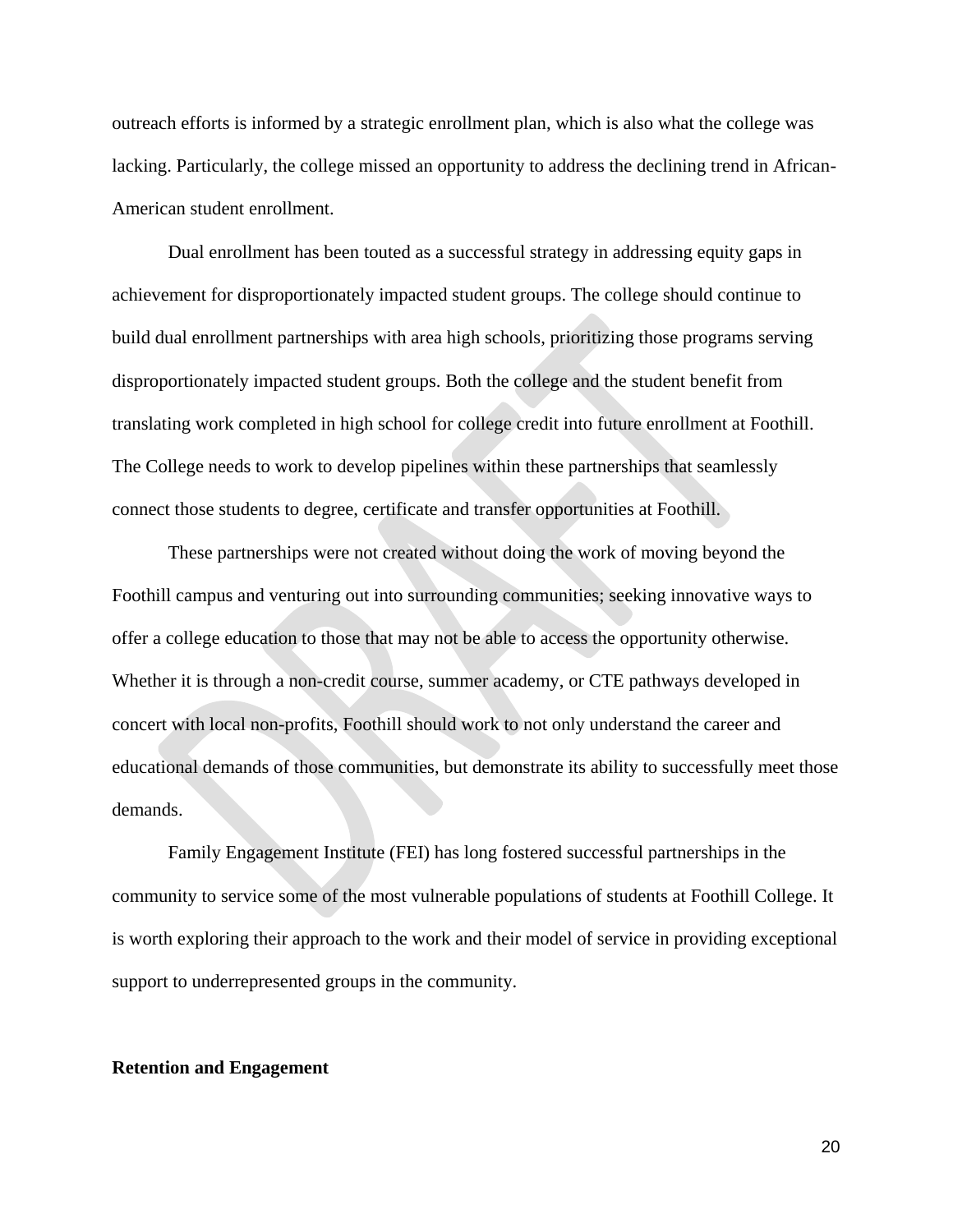outreach efforts is informed by a strategic enrollment plan, which is also what the college was lacking. Particularly, the college missed an opportunity to address the declining trend in African-American student enrollment.

Dual enrollment has been touted as a successful strategy in addressing equity gaps in achievement for disproportionately impacted student groups. The college should continue to build dual enrollment partnerships with area high schools, prioritizing those programs serving disproportionately impacted student groups. Both the college and the student benefit from translating work completed in high school for college credit into future enrollment at Foothill. The College needs to work to develop pipelines within these partnerships that seamlessly connect those students to degree, certificate and transfer opportunities at Foothill.

These partnerships were not created without doing the work of moving beyond the Foothill campus and venturing out into surrounding communities; seeking innovative ways to offer a college education to those that may not be able to access the opportunity otherwise. Whether it is through a non-credit course, summer academy, or CTE pathways developed in concert with local non-profits, Foothill should work to not only understand the career and educational demands of those communities, but demonstrate its ability to successfully meet those demands.

Family Engagement Institute (FEI) has long fostered successful partnerships in the community to service some of the most vulnerable populations of students at Foothill College. It is worth exploring their approach to the work and their model of service in providing exceptional support to underrepresented groups in the community.

## **Retention and Engagement**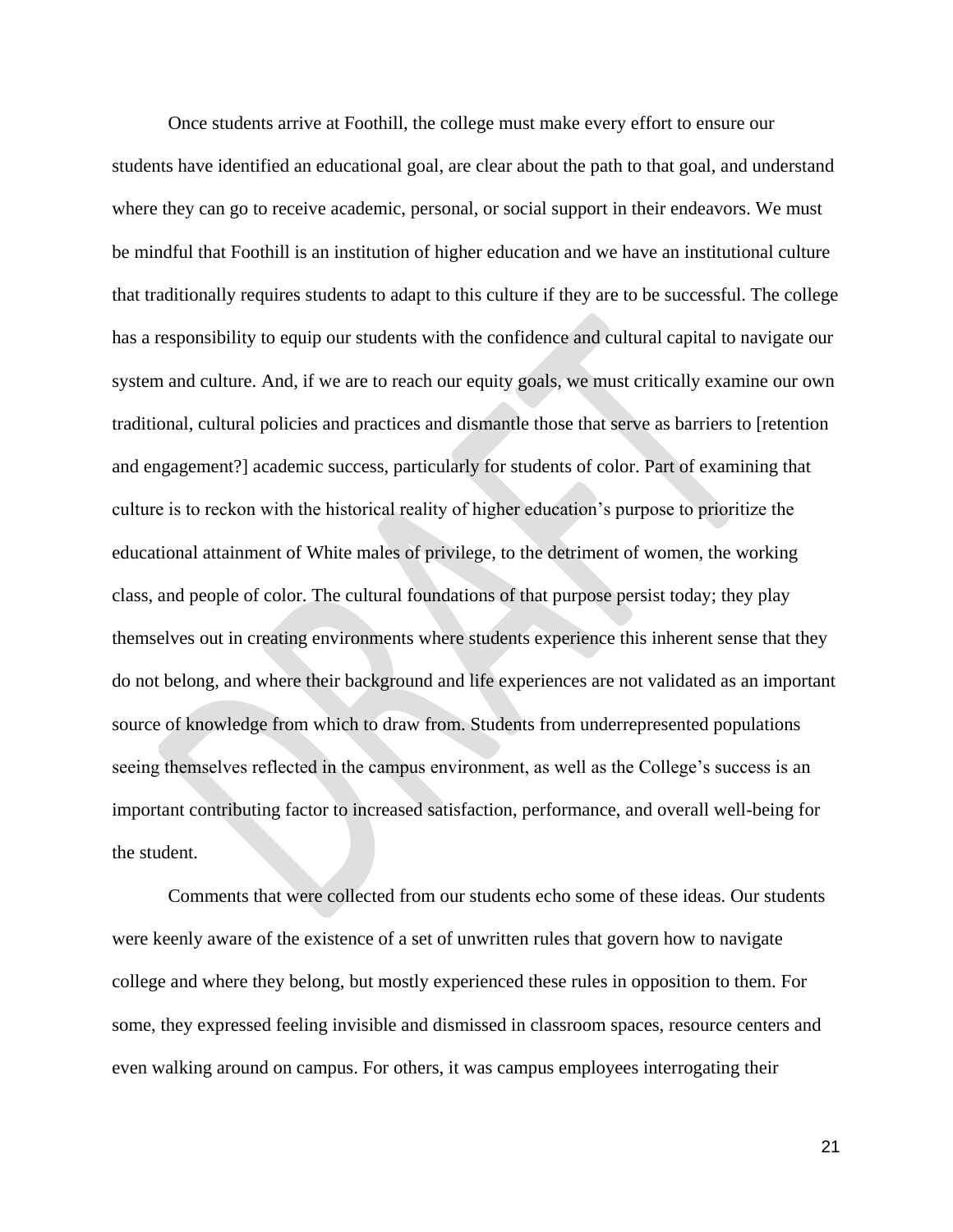Once students arrive at Foothill, the college must make every effort to ensure our students have identified an educational goal, are clear about the path to that goal, and understand where they can go to receive academic, personal, or social support in their endeavors. We must be mindful that Foothill is an institution of higher education and we have an institutional culture that traditionally requires students to adapt to this culture if they are to be successful. The college has a responsibility to equip our students with the confidence and cultural capital to navigate our system and culture. And, if we are to reach our equity goals, we must critically examine our own traditional, cultural policies and practices and dismantle those that serve as barriers to [retention and engagement?] academic success, particularly for students of color. Part of examining that culture is to reckon with the historical reality of higher education's purpose to prioritize the educational attainment of White males of privilege, to the detriment of women, the working class, and people of color. The cultural foundations of that purpose persist today; they play themselves out in creating environments where students experience this inherent sense that they do not belong, and where their background and life experiences are not validated as an important source of knowledge from which to draw from. Students from underrepresented populations seeing themselves reflected in the campus environment, as well as the College's success is an important contributing factor to increased satisfaction, performance, and overall well-being for the student.

Comments that were collected from our students echo some of these ideas. Our students were keenly aware of the existence of a set of unwritten rules that govern how to navigate college and where they belong, but mostly experienced these rules in opposition to them. For some, they expressed feeling invisible and dismissed in classroom spaces, resource centers and even walking around on campus. For others, it was campus employees interrogating their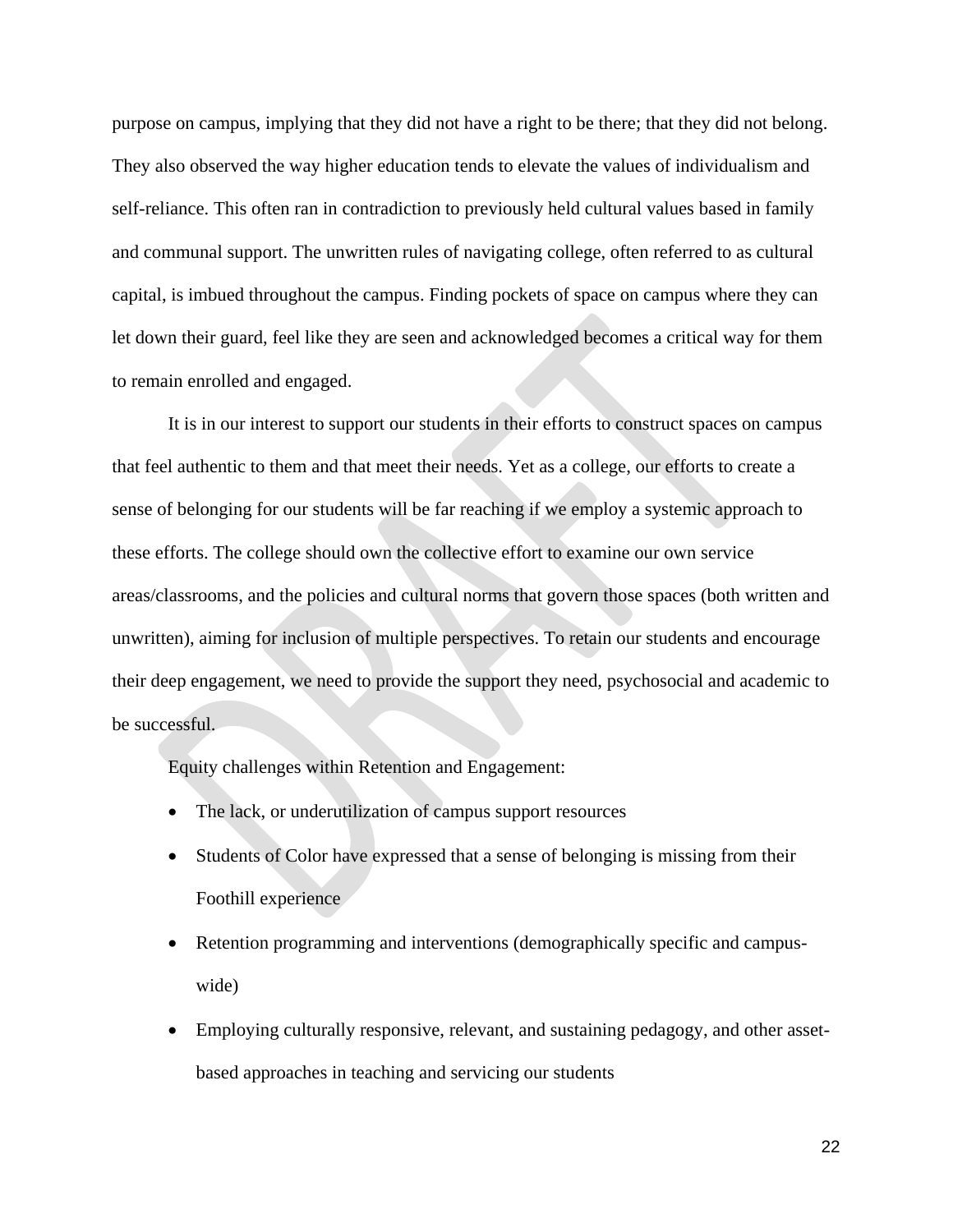purpose on campus, implying that they did not have a right to be there; that they did not belong. They also observed the way higher education tends to elevate the values of individualism and self-reliance. This often ran in contradiction to previously held cultural values based in family and communal support. The unwritten rules of navigating college, often referred to as cultural capital, is imbued throughout the campus. Finding pockets of space on campus where they can let down their guard, feel like they are seen and acknowledged becomes a critical way for them to remain enrolled and engaged.

It is in our interest to support our students in their efforts to construct spaces on campus that feel authentic to them and that meet their needs. Yet as a college, our efforts to create a sense of belonging for our students will be far reaching if we employ a systemic approach to these efforts. The college should own the collective effort to examine our own service areas/classrooms, and the policies and cultural norms that govern those spaces (both written and unwritten), aiming for inclusion of multiple perspectives. To retain our students and encourage their deep engagement, we need to provide the support they need, psychosocial and academic to be successful.

Equity challenges within Retention and Engagement:

- The lack, or underutilization of campus support resources
- Students of Color have expressed that a sense of belonging is missing from their Foothill experience
- Retention programming and interventions (demographically specific and campuswide)
- Employing culturally responsive, relevant, and sustaining pedagogy, and other assetbased approaches in teaching and servicing our students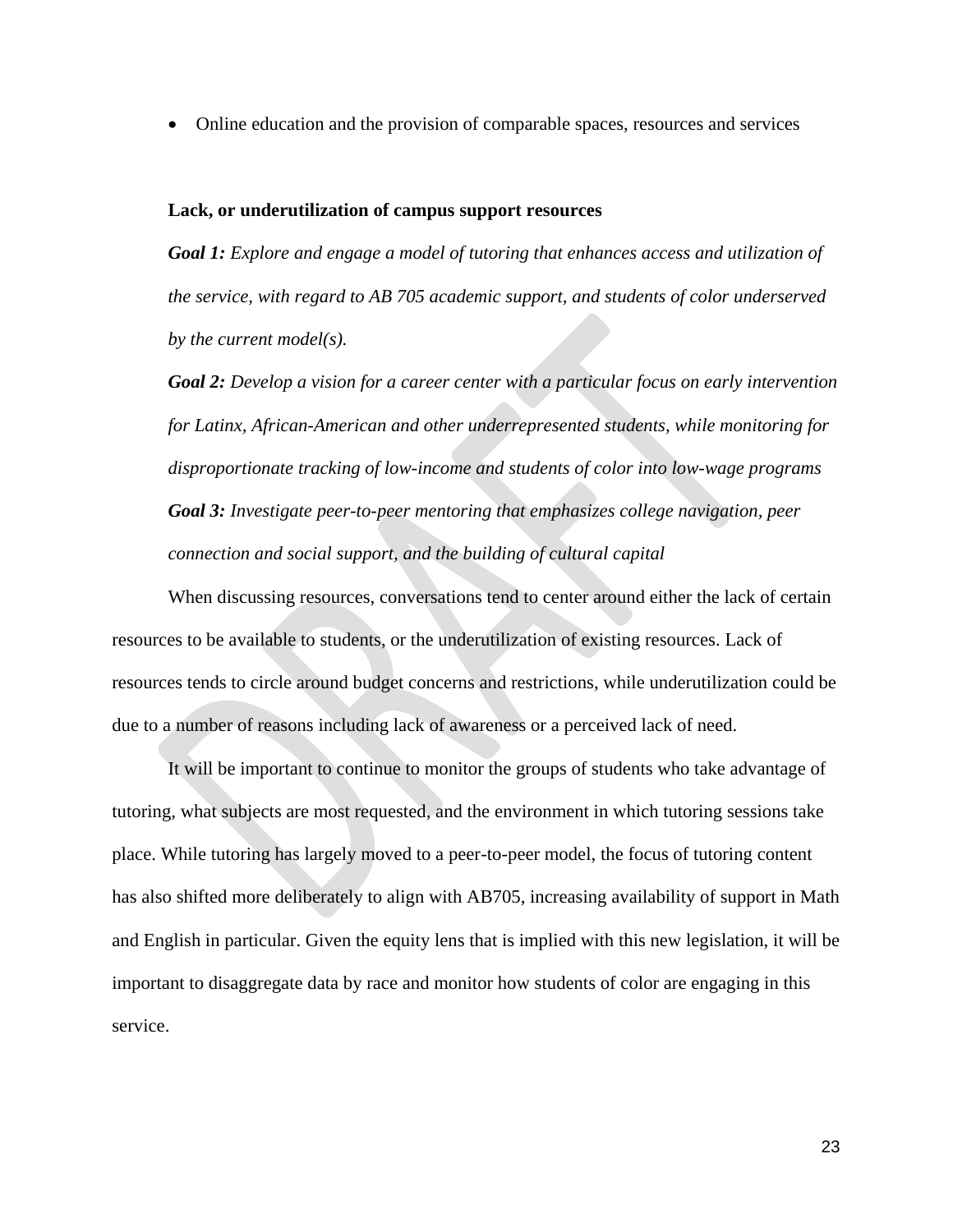Online education and the provision of comparable spaces, resources and services

#### **Lack, or underutilization of campus support resources**

*Goal 1: Explore and engage a model of tutoring that enhances access and utilization of the service, with regard to AB 705 academic support, and students of color underserved by the current model(s).*

*Goal 2: Develop a vision for a career center with a particular focus on early intervention for Latinx, African-American and other underrepresented students, while monitoring for disproportionate tracking of low-income and students of color into low-wage programs Goal 3: Investigate peer-to-peer mentoring that emphasizes college navigation, peer connection and social support, and the building of cultural capital*

When discussing resources, conversations tend to center around either the lack of certain resources to be available to students, or the underutilization of existing resources. Lack of resources tends to circle around budget concerns and restrictions, while underutilization could be due to a number of reasons including lack of awareness or a perceived lack of need.

It will be important to continue to monitor the groups of students who take advantage of tutoring, what subjects are most requested, and the environment in which tutoring sessions take place. While tutoring has largely moved to a peer-to-peer model, the focus of tutoring content has also shifted more deliberately to align with AB705, increasing availability of support in Math and English in particular. Given the equity lens that is implied with this new legislation, it will be important to disaggregate data by race and monitor how students of color are engaging in this service.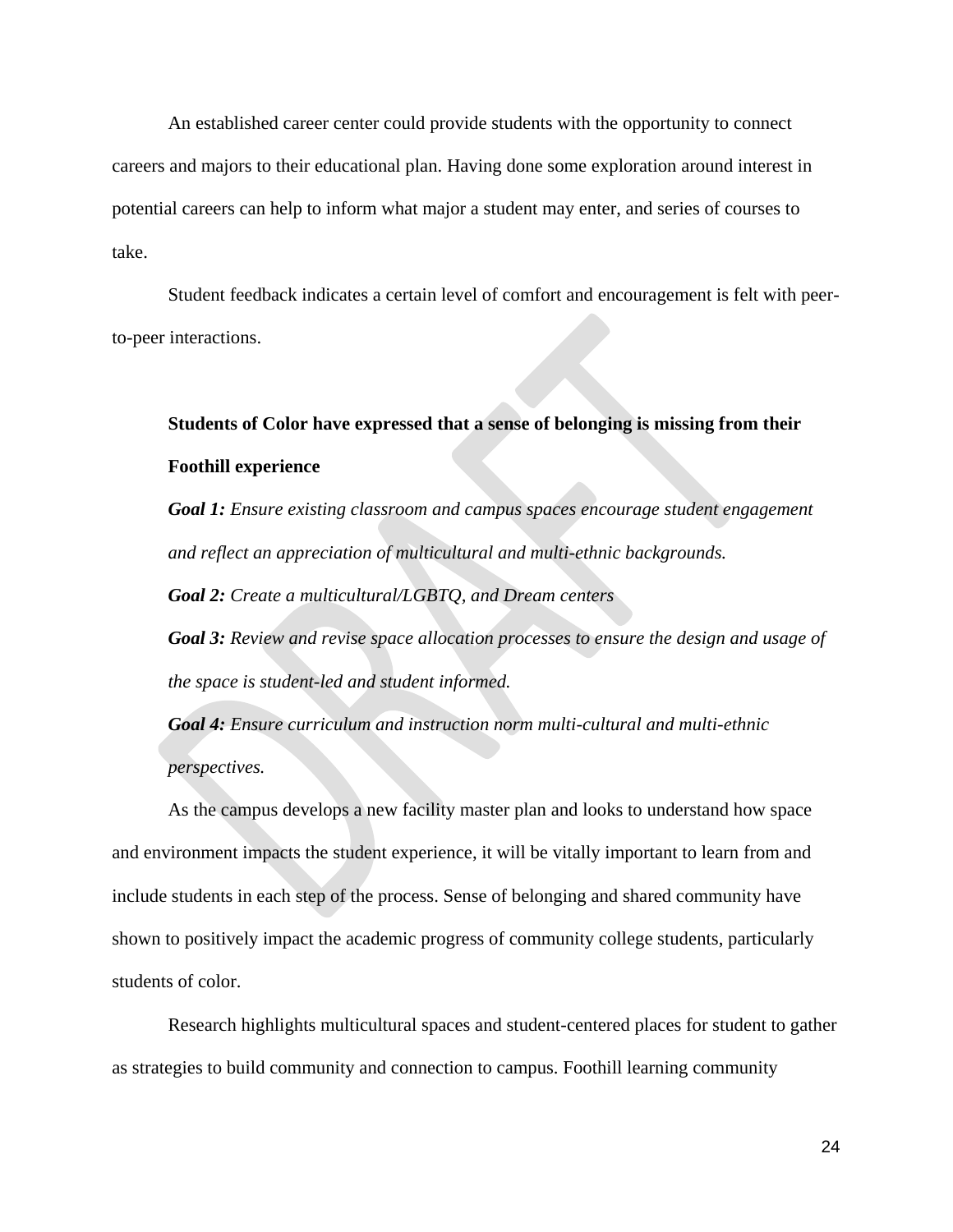An established career center could provide students with the opportunity to connect careers and majors to their educational plan. Having done some exploration around interest in potential careers can help to inform what major a student may enter, and series of courses to take.

Student feedback indicates a certain level of comfort and encouragement is felt with peerto-peer interactions.

# **Students of Color have expressed that a sense of belonging is missing from their Foothill experience**

*Goal 1: Ensure existing classroom and campus spaces encourage student engagement and reflect an appreciation of multicultural and multi-ethnic backgrounds.*

*Goal 2: Create a multicultural/LGBTQ, and Dream centers*

*Goal 3: Review and revise space allocation processes to ensure the design and usage of the space is student-led and student informed.*

*Goal 4: Ensure curriculum and instruction norm multi-cultural and multi-ethnic perspectives.*

As the campus develops a new facility master plan and looks to understand how space and environment impacts the student experience, it will be vitally important to learn from and include students in each step of the process. Sense of belonging and shared community have shown to positively impact the academic progress of community college students, particularly students of color.

Research highlights multicultural spaces and student-centered places for student to gather as strategies to build community and connection to campus. Foothill learning community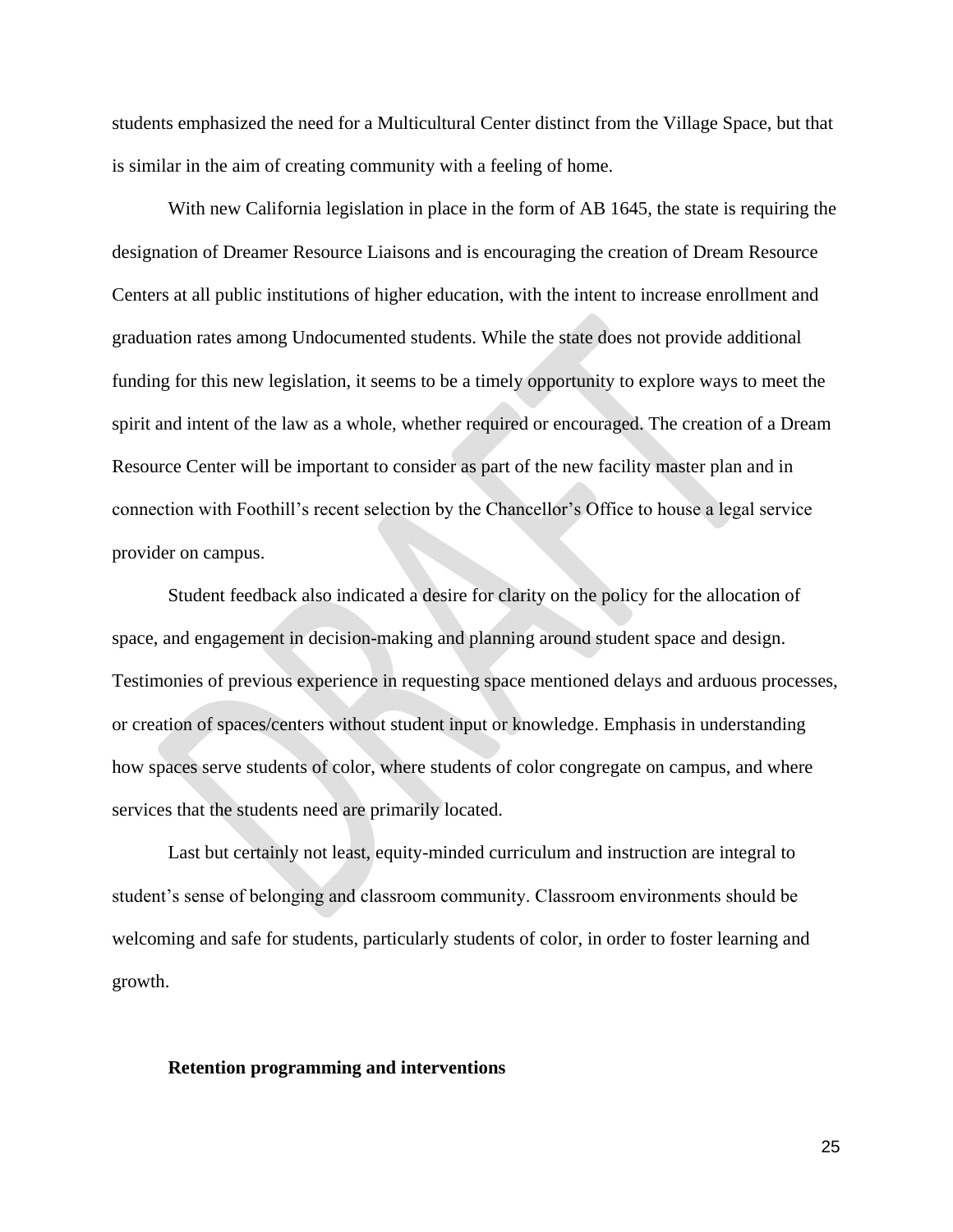students emphasized the need for a Multicultural Center distinct from the Village Space, but that is similar in the aim of creating community with a feeling of home.

With new California legislation in place in the form of AB 1645, the state is requiring the designation of Dreamer Resource Liaisons and is encouraging the creation of Dream Resource Centers at all public institutions of higher education, with the intent to increase enrollment and graduation rates among Undocumented students. While the state does not provide additional funding for this new legislation, it seems to be a timely opportunity to explore ways to meet the spirit and intent of the law as a whole, whether required or encouraged. The creation of a Dream Resource Center will be important to consider as part of the new facility master plan and in connection with Foothill's recent selection by the Chancellor's Office to house a legal service provider on campus.

Student feedback also indicated a desire for clarity on the policy for the allocation of space, and engagement in decision-making and planning around student space and design. Testimonies of previous experience in requesting space mentioned delays and arduous processes, or creation of spaces/centers without student input or knowledge. Emphasis in understanding how spaces serve students of color, where students of color congregate on campus, and where services that the students need are primarily located.

Last but certainly not least, equity-minded curriculum and instruction are integral to student's sense of belonging and classroom community. Classroom environments should be welcoming and safe for students, particularly students of color, in order to foster learning and growth.

#### **Retention programming and interventions**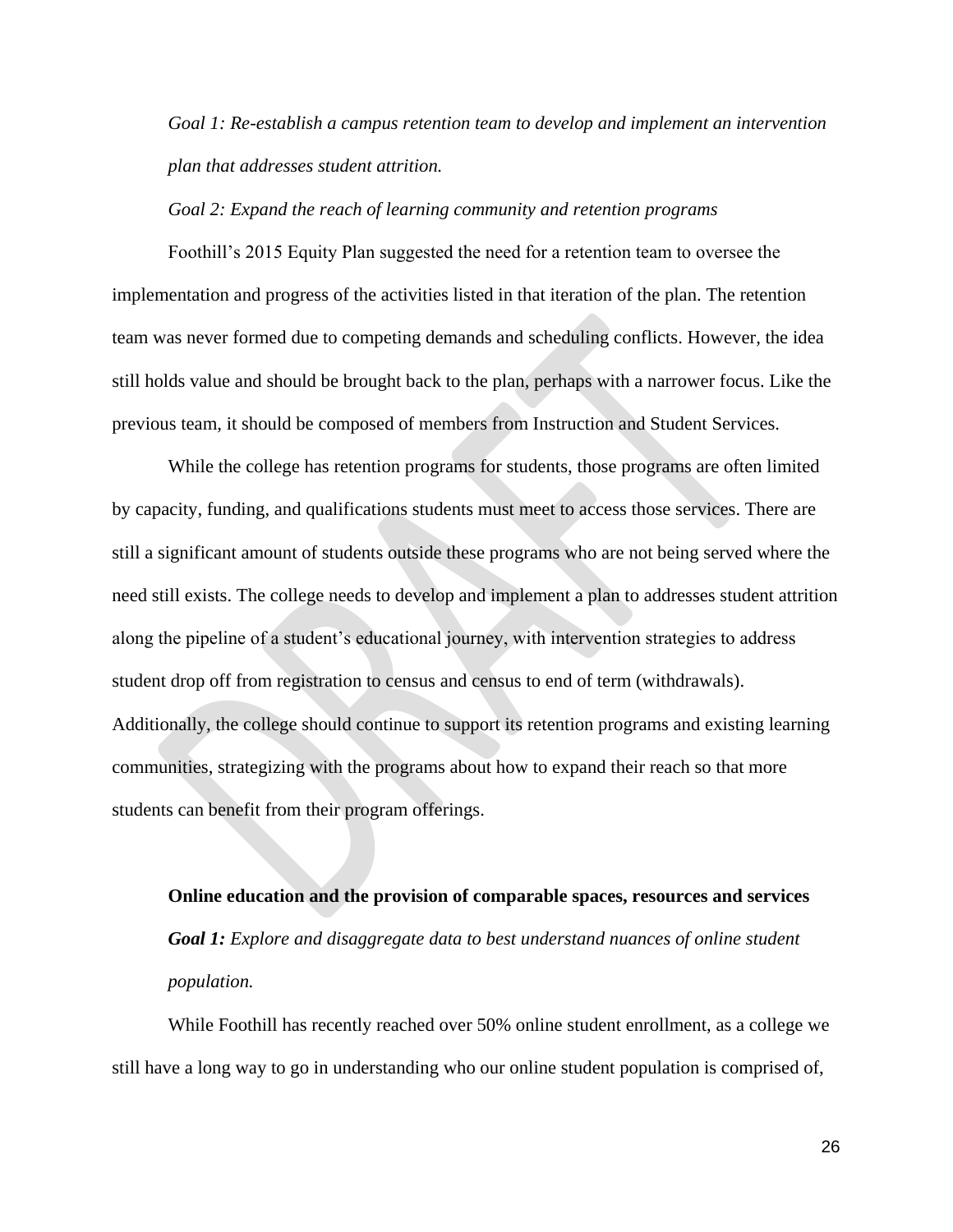*Goal 1: Re-establish a campus retention team to develop and implement an intervention plan that addresses student attrition.* 

*Goal 2: Expand the reach of learning community and retention programs*

Foothill's 2015 Equity Plan suggested the need for a retention team to oversee the implementation and progress of the activities listed in that iteration of the plan. The retention team was never formed due to competing demands and scheduling conflicts. However, the idea still holds value and should be brought back to the plan, perhaps with a narrower focus. Like the previous team, it should be composed of members from Instruction and Student Services.

While the college has retention programs for students, those programs are often limited by capacity, funding, and qualifications students must meet to access those services. There are still a significant amount of students outside these programs who are not being served where the need still exists. The college needs to develop and implement a plan to addresses student attrition along the pipeline of a student's educational journey, with intervention strategies to address student drop off from registration to census and census to end of term (withdrawals). Additionally, the college should continue to support its retention programs and existing learning communities, strategizing with the programs about how to expand their reach so that more students can benefit from their program offerings.

**Online education and the provision of comparable spaces, resources and services**  *Goal 1: Explore and disaggregate data to best understand nuances of online student population.* 

While Foothill has recently reached over 50% online student enrollment, as a college we still have a long way to go in understanding who our online student population is comprised of,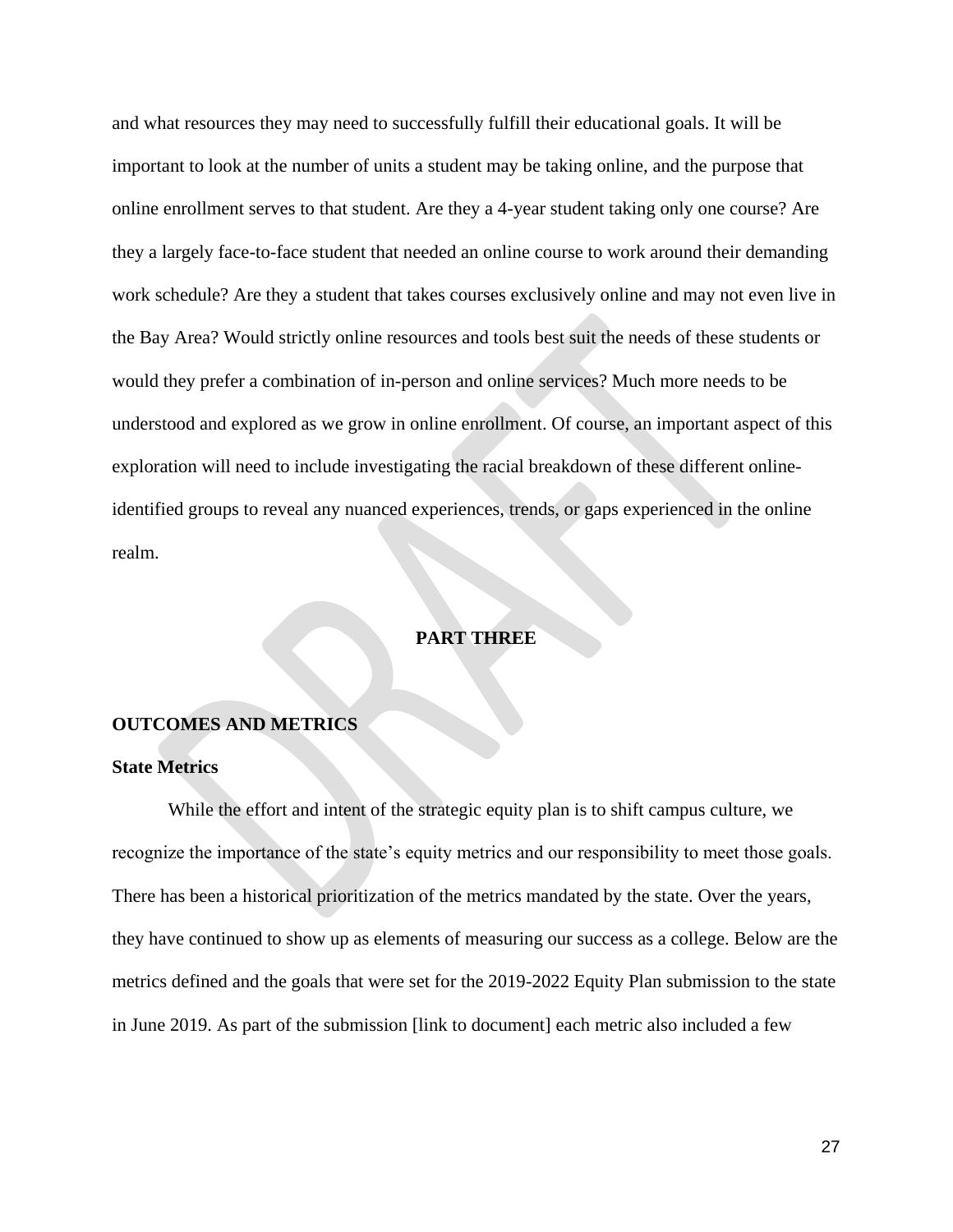and what resources they may need to successfully fulfill their educational goals. It will be important to look at the number of units a student may be taking online, and the purpose that online enrollment serves to that student. Are they a 4-year student taking only one course? Are they a largely face-to-face student that needed an online course to work around their demanding work schedule? Are they a student that takes courses exclusively online and may not even live in the Bay Area? Would strictly online resources and tools best suit the needs of these students or would they prefer a combination of in-person and online services? Much more needs to be understood and explored as we grow in online enrollment. Of course, an important aspect of this exploration will need to include investigating the racial breakdown of these different onlineidentified groups to reveal any nuanced experiences, trends, or gaps experienced in the online realm.

# **PART THREE**

#### **OUTCOMES AND METRICS**

#### **State Metrics**

While the effort and intent of the strategic equity plan is to shift campus culture, we recognize the importance of the state's equity metrics and our responsibility to meet those goals. There has been a historical prioritization of the metrics mandated by the state. Over the years, they have continued to show up as elements of measuring our success as a college. Below are the metrics defined and the goals that were set for the 2019-2022 Equity Plan submission to the state in June 2019. As part of the submission [link to document] each metric also included a few